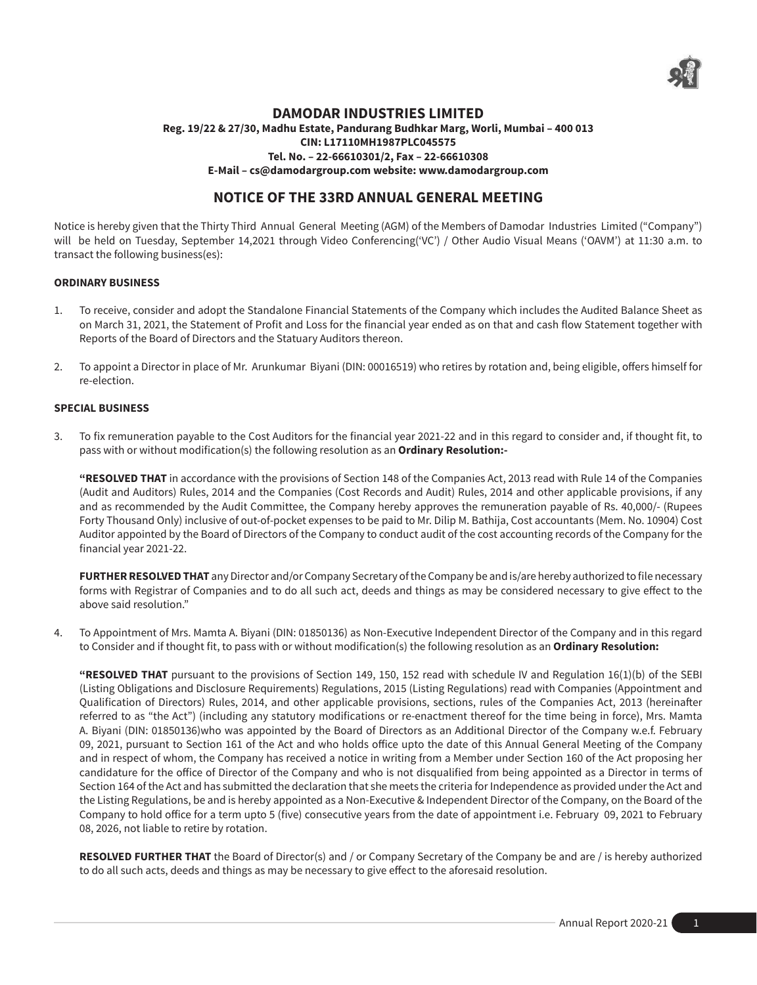

## **DAMODAR INDUSTRIES LIMITED**

## **Reg. 19/22 & 27/30, Madhu Estate, Pandurang Budhkar Marg, Worli, Mumbai – 400 013 CIN: L17110MH1987PLC045575 Tel. No. – 22-66610301/2, Fax – 22-66610308 E-Mail – cs@damodargroup.com website: www.damodargroup.com**

# **NOTICE OF THE 33RD ANNUAL GENERAL MEETING**

Notice is hereby given that the Thirty Third Annual General Meeting (AGM) of the Members of Damodar Industries Limited ("Company") will be held on Tuesday, September 14,2021 through Video Conferencing('VC') / Other Audio Visual Means ('OAVM') at 11:30 a.m. to transact the following business(es):

#### **ORDINARY BUSINESS**

- 1. To receive, consider and adopt the Standalone Financial Statements of the Company which includes the Audited Balance Sheet as on March 31, 2021, the Statement of Profit and Loss for the financial year ended as on that and cash flow Statement together with Reports of the Board of Directors and the Statuary Auditors thereon.
- 2. To appoint a Director in place of Mr. Arunkumar Biyani (DIN: 00016519) who retires by rotation and, being eligible, offers himself for re-election.

#### **SPECIAL BUSINESS**

3. To fix remuneration payable to the Cost Auditors for the financial year 2021-22 and in this regard to consider and, if thought fit, to pass with or without modification(s) the following resolution as an **Ordinary Resolution:-**

**"RESOLVED THAT** in accordance with the provisions of Section 148 of the Companies Act, 2013 read with Rule 14 of the Companies (Audit and Auditors) Rules, 2014 and the Companies (Cost Records and Audit) Rules, 2014 and other applicable provisions, if any and as recommended by the Audit Committee, the Company hereby approves the remuneration payable of Rs. 40,000/- (Rupees Forty Thousand Only) inclusive of out-of-pocket expenses to be paid to Mr. Dilip M. Bathija, Cost accountants (Mem. No. 10904) Cost Auditor appointed by the Board of Directors of the Company to conduct audit of the cost accounting records of the Company for the financial year 2021-22.

**FURTHER RESOLVED THAT** any Director and/or Company Secretary of the Company be and is/are hereby authorized to file necessary forms with Registrar of Companies and to do all such act, deeds and things as may be considered necessary to give effect to the above said resolution."

4. To Appointment of Mrs. Mamta A. Biyani (DIN: 01850136) as Non-Executive Independent Director of the Company and in this regard to Consider and if thought fit, to pass with or without modification(s) the following resolution as an **Ordinary Resolution:**

**"RESOLVED THAT** pursuant to the provisions of Section 149, 150, 152 read with schedule IV and Regulation 16(1)(b) of the SEBI (Listing Obligations and Disclosure Requirements) Regulations, 2015 (Listing Regulations) read with Companies (Appointment and Qualification of Directors) Rules, 2014, and other applicable provisions, sections, rules of the Companies Act, 2013 (hereinafter referred to as "the Act") (including any statutory modifications or re-enactment thereof for the time being in force), Mrs. Mamta A. Biyani (DIN: 01850136)who was appointed by the Board of Directors as an Additional Director of the Company w.e.f. February 09, 2021, pursuant to Section 161 of the Act and who holds office upto the date of this Annual General Meeting of the Company and in respect of whom, the Company has received a notice in writing from a Member under Section 160 of the Act proposing her candidature for the office of Director of the Company and who is not disqualified from being appointed as a Director in terms of Section 164 of the Act and has submitted the declaration that she meets the criteria for Independence as provided under the Act and the Listing Regulations, be and is hereby appointed as a Non-Executive & Independent Director of the Company, on the Board of the Company to hold office for a term upto 5 (five) consecutive years from the date of appointment i.e. February 09, 2021 to February 08, 2026, not liable to retire by rotation.

**RESOLVED FURTHER THAT** the Board of Director(s) and / or Company Secretary of the Company be and are / is hereby authorized to do all such acts, deeds and things as may be necessary to give effect to the aforesaid resolution.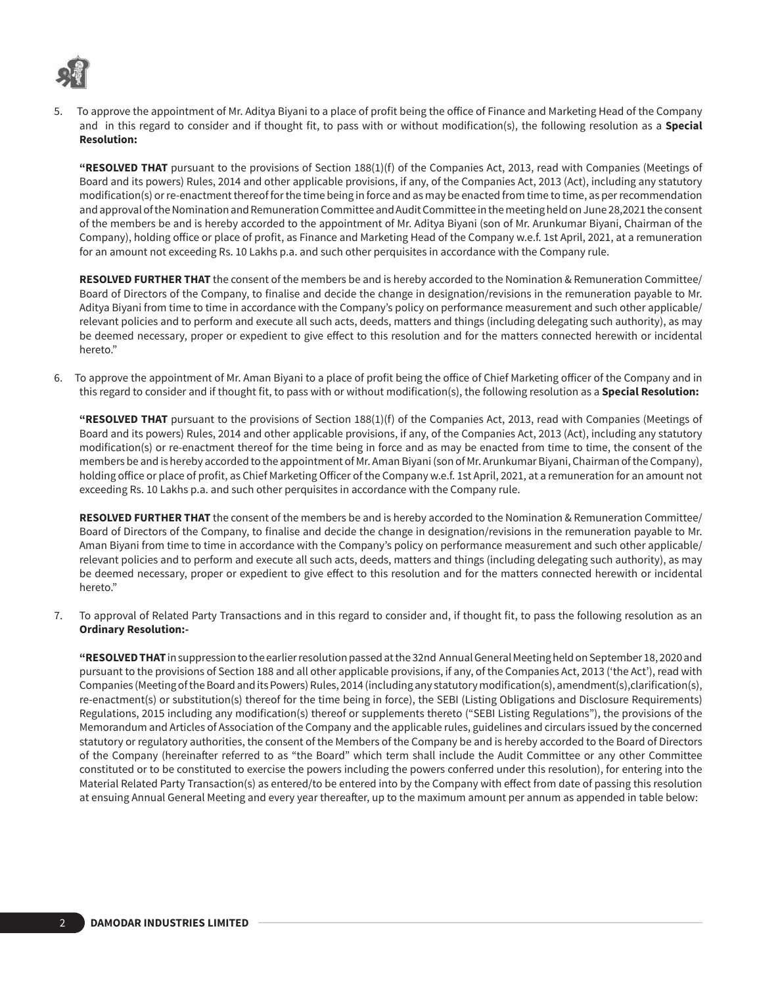

5. To approve the appointment of Mr. Aditya Biyani to a place of profit being the office of Finance and Marketing Head of the Company and in this regard to consider and if thought fit, to pass with or without modification(s), the following resolution as a **Special Resolution:** 

**"RESOLVED THAT** pursuant to the provisions of Section 188(1)(f) of the Companies Act, 2013, read with Companies (Meetings of Board and its powers) Rules, 2014 and other applicable provisions, if any, of the Companies Act, 2013 (Act), including any statutory modification(s) or re-enactment thereof for the time being in force and as may be enacted from time to time, as per recommendation and approval of the Nomination and Remuneration Committee and Audit Committee in the meeting held on June 28,2021 the consent of the members be and is hereby accorded to the appointment of Mr. Aditya Biyani (son of Mr. Arunkumar Biyani, Chairman of the Company), holding office or place of profit, as Finance and Marketing Head of the Company w.e.f. 1st April, 2021, at a remuneration for an amount not exceeding Rs. 10 Lakhs p.a. and such other perquisites in accordance with the Company rule.

**RESOLVED FURTHER THAT** the consent of the members be and is hereby accorded to the Nomination & Remuneration Committee/ Board of Directors of the Company, to finalise and decide the change in designation/revisions in the remuneration payable to Mr. Aditya Biyani from time to time in accordance with the Company's policy on performance measurement and such other applicable/ relevant policies and to perform and execute all such acts, deeds, matters and things (including delegating such authority), as may be deemed necessary, proper or expedient to give effect to this resolution and for the matters connected herewith or incidental hereto"

6. To approve the appointment of Mr. Aman Biyani to a place of profit being the office of Chief Marketing officer of the Company and in this regard to consider and if thought fit, to pass with or without modification(s), the following resolution as a **Special Resolution:**

**"RESOLVED THAT** pursuant to the provisions of Section 188(1)(f) of the Companies Act, 2013, read with Companies (Meetings of Board and its powers) Rules, 2014 and other applicable provisions, if any, of the Companies Act, 2013 (Act), including any statutory modification(s) or re-enactment thereof for the time being in force and as may be enacted from time to time, the consent of the members be and is hereby accorded to the appointment of Mr. Aman Biyani (son of Mr. Arunkumar Biyani, Chairman of the Company), holding office or place of profit, as Chief Marketing Officer of the Company w.e.f. 1st April, 2021, at a remuneration for an amount not exceeding Rs. 10 Lakhs p.a. and such other perquisites in accordance with the Company rule.

**RESOLVED FURTHER THAT** the consent of the members be and is hereby accorded to the Nomination & Remuneration Committee/ Board of Directors of the Company, to finalise and decide the change in designation/revisions in the remuneration payable to Mr. Aman Biyani from time to time in accordance with the Company's policy on performance measurement and such other applicable/ relevant policies and to perform and execute all such acts, deeds, matters and things (including delegating such authority), as may be deemed necessary, proper or expedient to give effect to this resolution and for the matters connected herewith or incidental hereto."

7. To approval of Related Party Transactions and in this regard to consider and, if thought fit, to pass the following resolution as an **Ordinary Resolution:-**

**"RESOLVED THAT** in suppression to the earlier resolution passed at the 32nd Annual General Meeting held on September 18, 2020 and pursuant to the provisions of Section 188 and all other applicable provisions, if any, of the Companies Act, 2013 ('the Act'), read with Companies (Meeting of the Board and its Powers) Rules, 2014 (including any statutory modification(s), amendment(s),clarification(s), re-enactment(s) or substitution(s) thereof for the time being in force), the SEBI (Listing Obligations and Disclosure Requirements) Regulations, 2015 including any modification(s) thereof or supplements thereto ("SEBI Listing Regulations"), the provisions of the Memorandum and Articles of Association of the Company and the applicable rules, guidelines and circulars issued by the concerned statutory or regulatory authorities, the consent of the Members of the Company be and is hereby accorded to the Board of Directors of the Company (hereinafter referred to as "the Board" which term shall include the Audit Committee or any other Committee constituted or to be constituted to exercise the powers including the powers conferred under this resolution), for entering into the Material Related Party Transaction(s) as entered/to be entered into by the Company with effect from date of passing this resolution at ensuing Annual General Meeting and every year thereafter, up to the maximum amount per annum as appended in table below: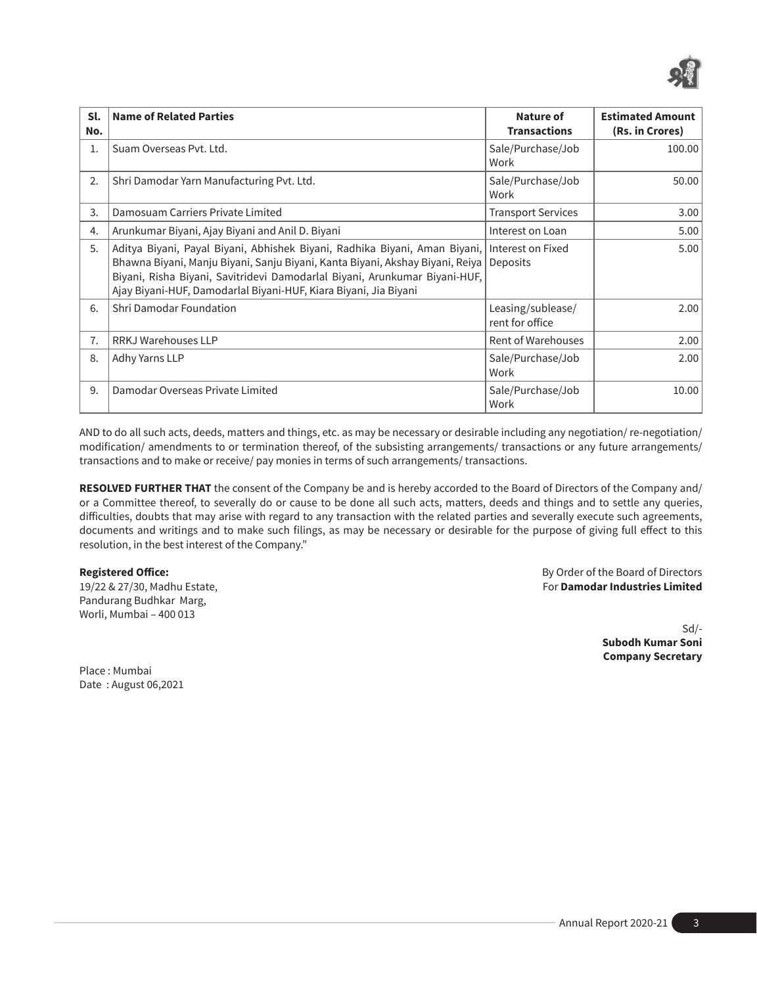

| Sl.<br>No. | <b>Name of Related Parties</b>                                                                                                                                                                                                                                                                                | Nature of<br><b>Transactions</b>     | <b>Estimated Amount</b><br>(Rs. in Crores) |
|------------|---------------------------------------------------------------------------------------------------------------------------------------------------------------------------------------------------------------------------------------------------------------------------------------------------------------|--------------------------------------|--------------------------------------------|
| 1.         | Suam Overseas Pyt. Ltd.                                                                                                                                                                                                                                                                                       | Sale/Purchase/Job<br>Work            | 100.00                                     |
| 2.         | Shri Damodar Yarn Manufacturing Pvt. Ltd.                                                                                                                                                                                                                                                                     | Sale/Purchase/Job<br>Work            | 50.00                                      |
| 3.         | Damosuam Carriers Private Limited                                                                                                                                                                                                                                                                             | <b>Transport Services</b>            | 3.00                                       |
| 4.         | Arunkumar Biyani, Ajay Biyani and Anil D. Biyani                                                                                                                                                                                                                                                              | Interest on Loan                     | 5.00                                       |
| 5.         | Aditya Biyani, Payal Biyani, Abhishek Biyani, Radhika Biyani, Aman Biyani,<br>Bhawna Biyani, Manju Biyani, Sanju Biyani, Kanta Biyani, Akshay Biyani, Reiya<br>Biyani, Risha Biyani, Savitridevi Damodarlal Biyani, Arunkumar Biyani-HUF,<br>Ajay Biyani-HUF, Damodarlal Biyani-HUF, Kiara Biyani, Jia Biyani | Interest on Fixed<br>Deposits        | 5.00                                       |
| 6.         | Shri Damodar Foundation                                                                                                                                                                                                                                                                                       | Leasing/sublease/<br>rent for office | 2.00                                       |
| 7.         | <b>RRKJ Warehouses LLP</b>                                                                                                                                                                                                                                                                                    | <b>Rent of Warehouses</b>            | 2.00                                       |
| 8.         | Adhy Yarns LLP                                                                                                                                                                                                                                                                                                | Sale/Purchase/Job<br>Work            | 2.00                                       |
| 9.         | Damodar Overseas Private Limited                                                                                                                                                                                                                                                                              | Sale/Purchase/Job<br>Work            | 10.00                                      |

AND to do all such acts, deeds, matters and things, etc. as may be necessary or desirable including any negotiation/ re-negotiation/ modification/ amendments to or termination thereof, of the subsisting arrangements/ transactions or any future arrangements/ transactions and to make or receive/ pay monies in terms of such arrangements/ transactions.

**RESOLVED FURTHER THAT** the consent of the Company be and is hereby accorded to the Board of Directors of the Company and/ or a Committee thereof, to severally do or cause to be done all such acts, matters, deeds and things and to settle any queries, difficulties, doubts that may arise with regard to any transaction with the related parties and severally execute such agreements, documents and writings and to make such filings, as may be necessary or desirable for the purpose of giving full effect to this resolution, in the best interest of the Company."

Pandurang Budhkar Marg, Worli, Mumbai – 400 013

**Registered Office:** By Order of the Board of Directors 19/22 & 27/30, Madhu Estate, For **Damodar Industries Limited**

> Sd/- **Subodh Kumar Soni Company Secretary**

Place : Mumbai Date : August 06,2021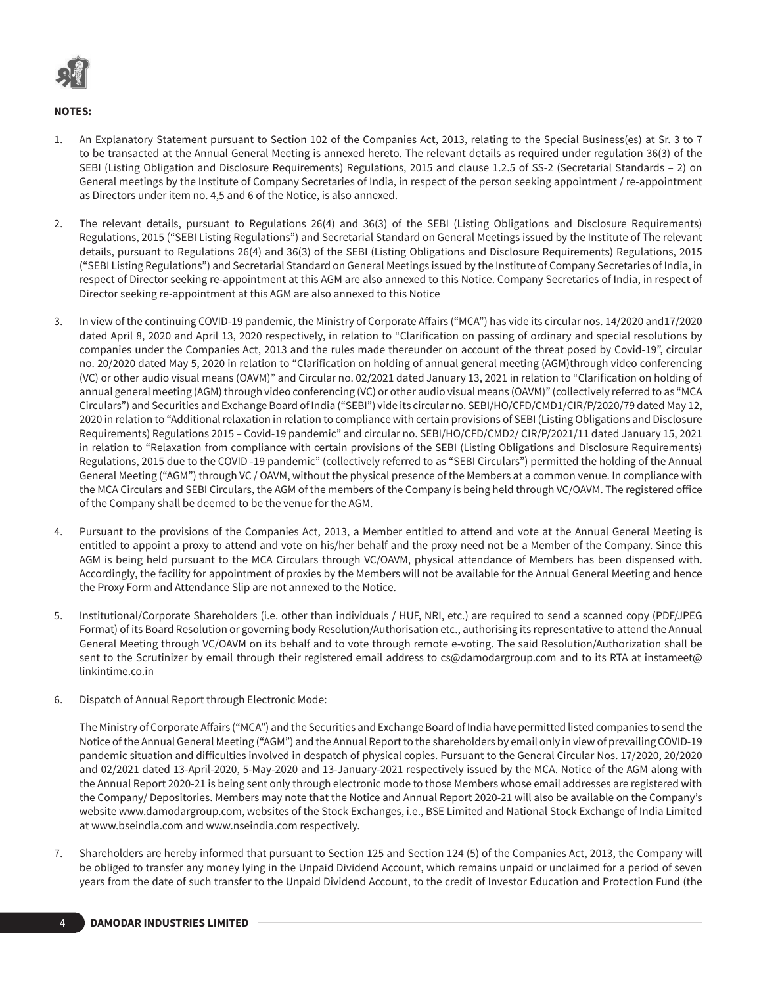

## **NOTES:**

- 1. An Explanatory Statement pursuant to Section 102 of the Companies Act, 2013, relating to the Special Business(es) at Sr. 3 to 7 to be transacted at the Annual General Meeting is annexed hereto. The relevant details as required under regulation 36(3) of the SEBI (Listing Obligation and Disclosure Requirements) Regulations, 2015 and clause 1.2.5 of SS-2 (Secretarial Standards – 2) on General meetings by the Institute of Company Secretaries of India, in respect of the person seeking appointment / re-appointment as Directors under item no. 4,5 and 6 of the Notice, is also annexed.
- 2. The relevant details, pursuant to Regulations 26(4) and 36(3) of the SEBI (Listing Obligations and Disclosure Requirements) Regulations, 2015 ("SEBI Listing Regulations") and Secretarial Standard on General Meetings issued by the Institute of The relevant details, pursuant to Regulations 26(4) and 36(3) of the SEBI (Listing Obligations and Disclosure Requirements) Regulations, 2015 ("SEBI Listing Regulations") and Secretarial Standard on General Meetings issued by the Institute of Company Secretaries of India, in respect of Director seeking re-appointment at this AGM are also annexed to this Notice. Company Secretaries of India, in respect of Director seeking re-appointment at this AGM are also annexed to this Notice
- 3. In view of the continuing COVID-19 pandemic, the Ministry of Corporate Affairs ("MCA") has vide its circular nos. 14/2020 and17/2020 dated April 8, 2020 and April 13, 2020 respectively, in relation to "Clarification on passing of ordinary and special resolutions by companies under the Companies Act, 2013 and the rules made thereunder on account of the threat posed by Covid-19", circular no. 20/2020 dated May 5, 2020 in relation to "Clarification on holding of annual general meeting (AGM)through video conferencing (VC) or other audio visual means (OAVM)" and Circular no. 02/2021 dated January 13, 2021 in relation to "Clarification on holding of annual general meeting (AGM) through video conferencing (VC) or other audio visual means (OAVM)" (collectively referred to as "MCA Circulars") and Securities and Exchange Board of India ("SEBI") vide its circular no. SEBI/HO/CFD/CMD1/CIR/P/2020/79 dated May 12, 2020 in relation to "Additional relaxation in relation to compliance with certain provisions of SEBI (Listing Obligations and Disclosure Requirements) Regulations 2015 – Covid-19 pandemic" and circular no. SEBI/HO/CFD/CMD2/ CIR/P/2021/11 dated January 15, 2021 in relation to "Relaxation from compliance with certain provisions of the SEBI (Listing Obligations and Disclosure Requirements) Regulations, 2015 due to the COVID -19 pandemic" (collectively referred to as "SEBI Circulars") permitted the holding of the Annual General Meeting ("AGM") through VC / OAVM, without the physical presence of the Members at a common venue. In compliance with the MCA Circulars and SEBI Circulars, the AGM of the members of the Company is being held through VC/OAVM. The registered office of the Company shall be deemed to be the venue for the AGM.
- 4. Pursuant to the provisions of the Companies Act, 2013, a Member entitled to attend and vote at the Annual General Meeting is entitled to appoint a proxy to attend and vote on his/her behalf and the proxy need not be a Member of the Company. Since this AGM is being held pursuant to the MCA Circulars through VC/OAVM, physical attendance of Members has been dispensed with. Accordingly, the facility for appointment of proxies by the Members will not be available for the Annual General Meeting and hence the Proxy Form and Attendance Slip are not annexed to the Notice.
- 5. Institutional/Corporate Shareholders (i.e. other than individuals / HUF, NRI, etc.) are required to send a scanned copy (PDF/JPEG Format) of its Board Resolution or governing body Resolution/Authorisation etc., authorising its representative to attend the Annual General Meeting through VC/OAVM on its behalf and to vote through remote e-voting. The said Resolution/Authorization shall be sent to the Scrutinizer by email through their registered email address to cs@damodargroup.com and to its RTA at instameet@ linkintime.co.in
- 6. Dispatch of Annual Report through Electronic Mode:

The Ministry of Corporate Affairs ("MCA") and the Securities and Exchange Board of India have permitted listed companies to send the Notice of the Annual General Meeting ("AGM") and the Annual Report to the shareholders by email only in view of prevailing COVID-19 pandemic situation and difficulties involved in despatch of physical copies. Pursuant to the General Circular Nos. 17/2020, 20/2020 and 02/2021 dated 13-April-2020, 5-May-2020 and 13-January-2021 respectively issued by the MCA. Notice of the AGM along with the Annual Report 2020-21 is being sent only through electronic mode to those Members whose email addresses are registered with the Company/ Depositories. Members may note that the Notice and Annual Report 2020-21 will also be available on the Company's website www.damodargroup.com, websites of the Stock Exchanges, i.e., BSE Limited and National Stock Exchange of India Limited at www.bseindia.com and www.nseindia.com respectively.

7. Shareholders are hereby informed that pursuant to Section 125 and Section 124 (5) of the Companies Act, 2013, the Company will be obliged to transfer any money lying in the Unpaid Dividend Account, which remains unpaid or unclaimed for a period of seven years from the date of such transfer to the Unpaid Dividend Account, to the credit of Investor Education and Protection Fund (the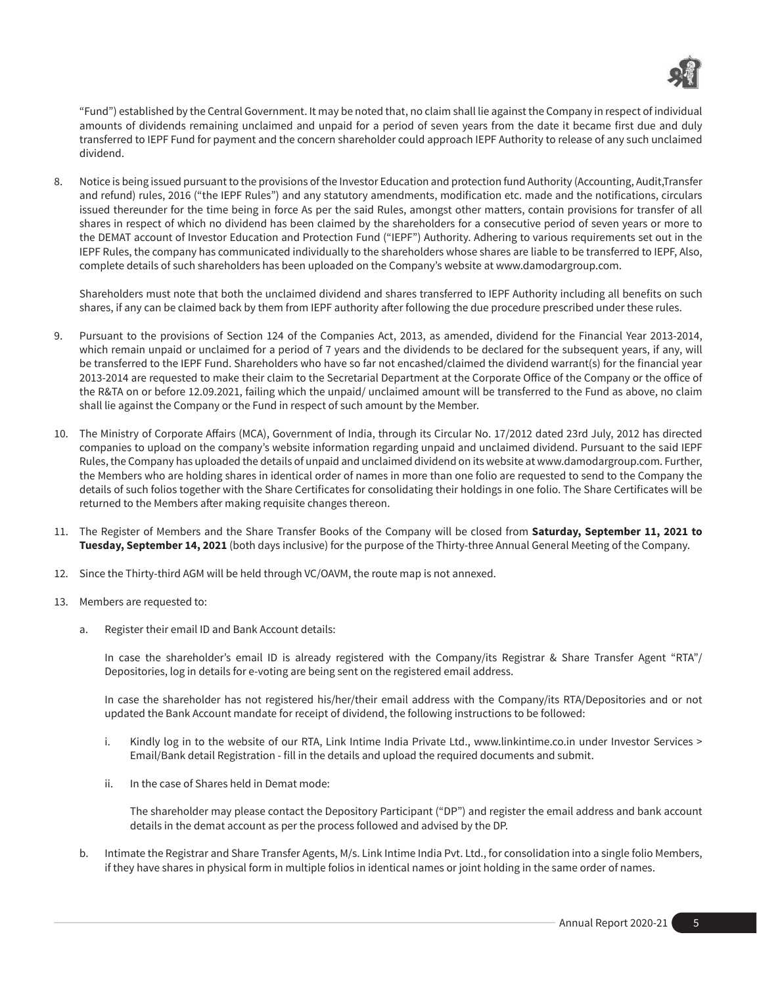

"Fund") established by the Central Government. It may be noted that, no claim shall lie against the Company in respect of individual amounts of dividends remaining unclaimed and unpaid for a period of seven years from the date it became first due and duly transferred to IEPF Fund for payment and the concern shareholder could approach IEPF Authority to release of any such unclaimed dividend.

8. Notice is being issued pursuant to the provisions of the Investor Education and protection fund Authority (Accounting, Audit,Transfer and refund) rules, 2016 ("the IEPF Rules") and any statutory amendments, modification etc. made and the notifications, circulars issued thereunder for the time being in force As per the said Rules, amongst other matters, contain provisions for transfer of all shares in respect of which no dividend has been claimed by the shareholders for a consecutive period of seven years or more to the DEMAT account of Investor Education and Protection Fund ("IEPF") Authority. Adhering to various requirements set out in the IEPF Rules, the company has communicated individually to the shareholders whose shares are liable to be transferred to IEPF, Also, complete details of such shareholders has been uploaded on the Company's website at www.damodargroup.com.

Shareholders must note that both the unclaimed dividend and shares transferred to IEPF Authority including all benefits on such shares, if any can be claimed back by them from IEPF authority after following the due procedure prescribed under these rules.

- 9. Pursuant to the provisions of Section 124 of the Companies Act, 2013, as amended, dividend for the Financial Year 2013-2014, which remain unpaid or unclaimed for a period of 7 years and the dividends to be declared for the subsequent years, if any, will be transferred to the IEPF Fund. Shareholders who have so far not encashed/claimed the dividend warrant(s) for the financial year 2013-2014 are requested to make their claim to the Secretarial Department at the Corporate Office of the Company or the office of the R&TA on or before 12.09.2021, failing which the unpaid/ unclaimed amount will be transferred to the Fund as above, no claim shall lie against the Company or the Fund in respect of such amount by the Member.
- 10. The Ministry of Corporate Affairs (MCA), Government of India, through its Circular No. 17/2012 dated 23rd July, 2012 has directed companies to upload on the company's website information regarding unpaid and unclaimed dividend. Pursuant to the said IEPF Rules, the Company has uploaded the details of unpaid and unclaimed dividend on its website at www.damodargroup.com. Further, the Members who are holding shares in identical order of names in more than one folio are requested to send to the Company the details of such folios together with the Share Certificates for consolidating their holdings in one folio. The Share Certificates will be returned to the Members after making requisite changes thereon.
- 11. The Register of Members and the Share Transfer Books of the Company will be closed from **Saturday, September 11, 2021 to Tuesday, September 14, 2021** (both days inclusive) for the purpose of the Thirty-three Annual General Meeting of the Company.
- 12. Since the Thirty-third AGM will be held through VC/OAVM, the route map is not annexed.
- 13. Members are requested to:
	- a. Register their email ID and Bank Account details:

In case the shareholder's email ID is already registered with the Company/its Registrar & Share Transfer Agent "RTA"/ Depositories, log in details for e-voting are being sent on the registered email address.

In case the shareholder has not registered his/her/their email address with the Company/its RTA/Depositories and or not updated the Bank Account mandate for receipt of dividend, the following instructions to be followed:

- i. Kindly log in to the website of our RTA, Link Intime India Private Ltd., www.linkintime.co.in under Investor Services > Email/Bank detail Registration - fill in the details and upload the required documents and submit.
- ii. In the case of Shares held in Demat mode:

The shareholder may please contact the Depository Participant ("DP") and register the email address and bank account details in the demat account as per the process followed and advised by the DP.

b. Intimate the Registrar and Share Transfer Agents, M/s. Link Intime India Pvt. Ltd., for consolidation into a single folio Members, if they have shares in physical form in multiple folios in identical names or joint holding in the same order of names.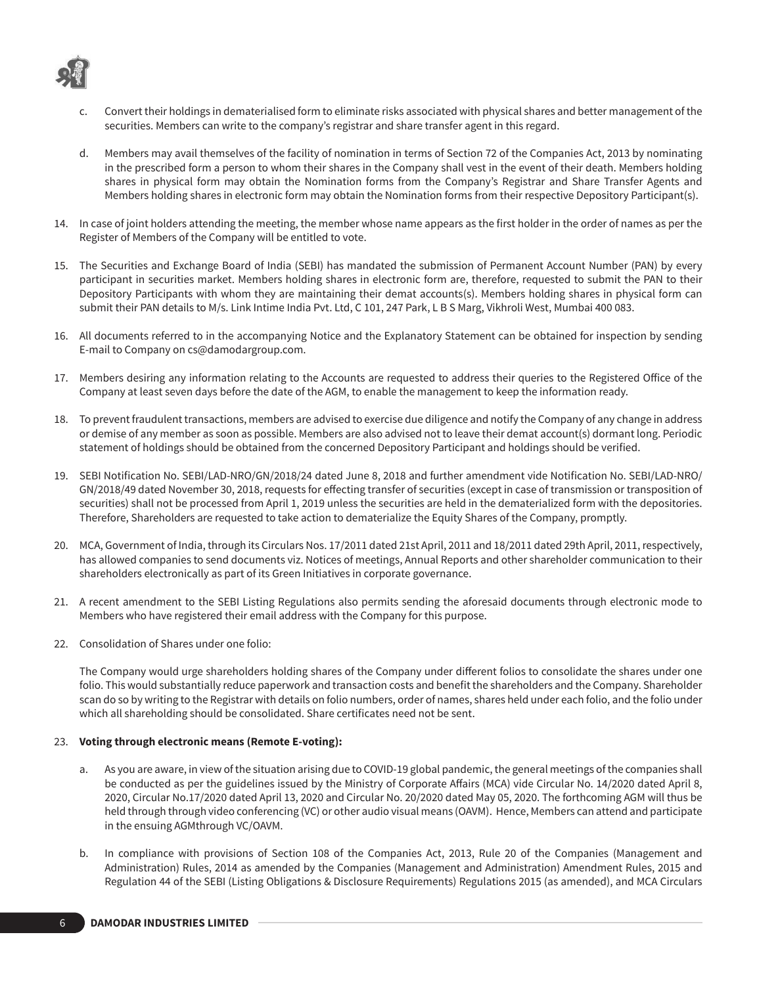

- Convert their holdings in dematerialised form to eliminate risks associated with physical shares and better management of the securities. Members can write to the company's registrar and share transfer agent in this regard.
- d. Members may avail themselves of the facility of nomination in terms of Section 72 of the Companies Act, 2013 by nominating in the prescribed form a person to whom their shares in the Company shall vest in the event of their death. Members holding shares in physical form may obtain the Nomination forms from the Company's Registrar and Share Transfer Agents and Members holding shares in electronic form may obtain the Nomination forms from their respective Depository Participant(s).
- 14. In case of joint holders attending the meeting, the member whose name appears as the first holder in the order of names as per the Register of Members of the Company will be entitled to vote.
- 15. The Securities and Exchange Board of India (SEBI) has mandated the submission of Permanent Account Number (PAN) by every participant in securities market. Members holding shares in electronic form are, therefore, requested to submit the PAN to their Depository Participants with whom they are maintaining their demat accounts(s). Members holding shares in physical form can submit their PAN details to M/s. Link Intime India Pvt. Ltd, C 101, 247 Park, L B S Marg, Vikhroli West, Mumbai 400 083.
- 16. All documents referred to in the accompanying Notice and the Explanatory Statement can be obtained for inspection by sending E-mail to Company on cs@damodargroup.com.
- 17. Members desiring any information relating to the Accounts are requested to address their queries to the Registered Office of the Company at least seven days before the date of the AGM, to enable the management to keep the information ready.
- 18. To prevent fraudulent transactions, members are advised to exercise due diligence and notify the Company of any change in address or demise of any member as soon as possible. Members are also advised not to leave their demat account(s) dormant long. Periodic statement of holdings should be obtained from the concerned Depository Participant and holdings should be verified.
- 19. SEBI Notification No. SEBI/LAD-NRO/GN/2018/24 dated June 8, 2018 and further amendment vide Notification No. SEBI/LAD-NRO/ GN/2018/49 dated November 30, 2018, requests for effecting transfer of securities (except in case of transmission or transposition of securities) shall not be processed from April 1, 2019 unless the securities are held in the dematerialized form with the depositories. Therefore, Shareholders are requested to take action to dematerialize the Equity Shares of the Company, promptly.
- 20. MCA, Government of India, through its Circulars Nos. 17/2011 dated 21st April, 2011 and 18/2011 dated 29th April, 2011, respectively, has allowed companies to send documents viz. Notices of meetings, Annual Reports and other shareholder communication to their shareholders electronically as part of its Green Initiatives in corporate governance.
- 21. A recent amendment to the SEBI Listing Regulations also permits sending the aforesaid documents through electronic mode to Members who have registered their email address with the Company for this purpose.
- 22. Consolidation of Shares under one folio:

The Company would urge shareholders holding shares of the Company under different folios to consolidate the shares under one folio. This would substantially reduce paperwork and transaction costs and benefit the shareholders and the Company. Shareholder scan do so by writing to the Registrar with details on folio numbers, order of names, shares held under each folio, and the folio under which all shareholding should be consolidated. Share certificates need not be sent.

### 23. **Voting through electronic means (Remote E-voting):**

- a. As you are aware, in view of the situation arising due to COVID-19 global pandemic, the general meetings of the companies shall be conducted as per the guidelines issued by the Ministry of Corporate Affairs (MCA) vide Circular No. 14/2020 dated April 8, 2020, Circular No.17/2020 dated April 13, 2020 and Circular No. 20/2020 dated May 05, 2020. The forthcoming AGM will thus be held through through video conferencing (VC) or other audio visual means (OAVM). Hence, Members can attend and participate in the ensuing AGMthrough VC/OAVM.
- b. In compliance with provisions of Section 108 of the Companies Act, 2013, Rule 20 of the Companies (Management and Administration) Rules, 2014 as amended by the Companies (Management and Administration) Amendment Rules, 2015 and Regulation 44 of the SEBI (Listing Obligations & Disclosure Requirements) Regulations 2015 (as amended), and MCA Circulars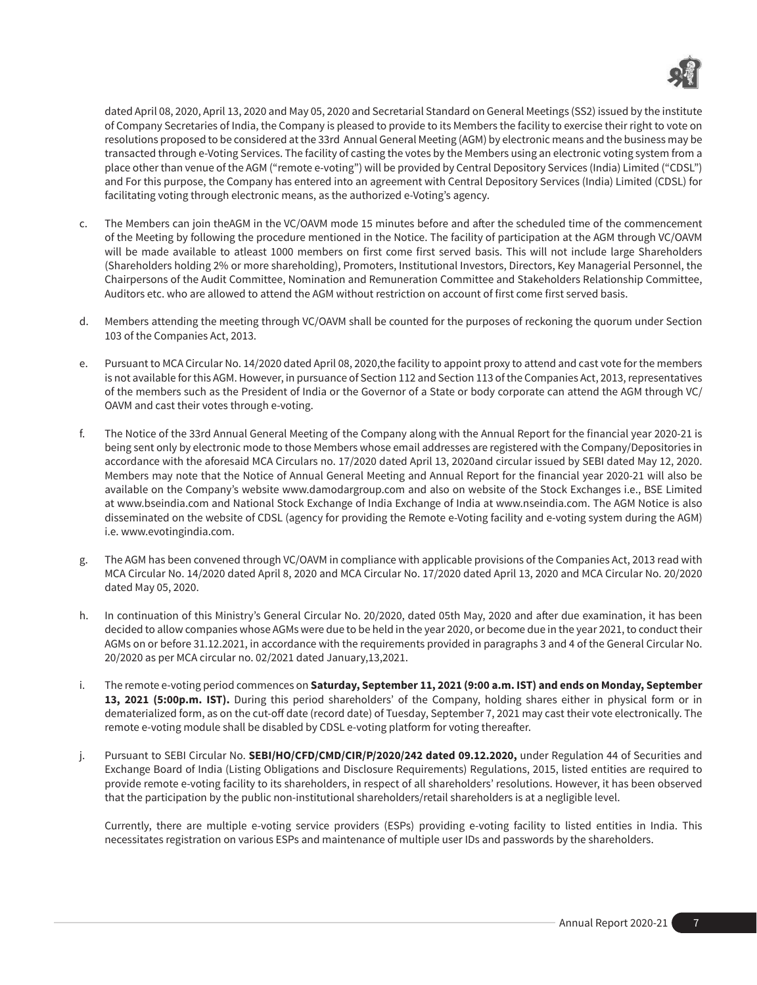

dated April 08, 2020, April 13, 2020 and May 05, 2020 and Secretarial Standard on General Meetings (SS2) issued by the institute of Company Secretaries of India, the Company is pleased to provide to its Members the facility to exercise their right to vote on resolutions proposed to be considered at the 33rd Annual General Meeting (AGM) by electronic means and the business may be transacted through e-Voting Services. The facility of casting the votes by the Members using an electronic voting system from a place other than venue of the AGM ("remote e-voting") will be provided by Central Depository Services (India) Limited ("CDSL") and For this purpose, the Company has entered into an agreement with Central Depository Services (India) Limited (CDSL) for facilitating voting through electronic means, as the authorized e-Voting's agency.

- c. The Members can join theAGM in the VC/OAVM mode 15 minutes before and after the scheduled time of the commencement of the Meeting by following the procedure mentioned in the Notice. The facility of participation at the AGM through VC/OAVM will be made available to atleast 1000 members on first come first served basis. This will not include large Shareholders (Shareholders holding 2% or more shareholding), Promoters, Institutional Investors, Directors, Key Managerial Personnel, the Chairpersons of the Audit Committee, Nomination and Remuneration Committee and Stakeholders Relationship Committee, Auditors etc. who are allowed to attend the AGM without restriction on account of first come first served basis.
- d. Members attending the meeting through VC/OAVM shall be counted for the purposes of reckoning the quorum under Section 103 of the Companies Act, 2013.
- e. Pursuant to MCA Circular No. 14/2020 dated April 08, 2020,the facility to appoint proxy to attend and cast vote for the members is not available for this AGM. However, in pursuance of Section 112 and Section 113 of the Companies Act, 2013, representatives of the members such as the President of India or the Governor of a State or body corporate can attend the AGM through VC/ OAVM and cast their votes through e-voting.
- f. The Notice of the 33rd Annual General Meeting of the Company along with the Annual Report for the financial year 2020-21 is being sent only by electronic mode to those Members whose email addresses are registered with the Company/Depositories in accordance with the aforesaid MCA Circulars no. 17/2020 dated April 13, 2020and circular issued by SEBI dated May 12, 2020. Members may note that the Notice of Annual General Meeting and Annual Report for the financial year 2020-21 will also be available on the Company's website www.damodargroup.com and also on website of the Stock Exchanges i.e., BSE Limited at www.bseindia.com and National Stock Exchange of India Exchange of India at www.nseindia.com. The AGM Notice is also disseminated on the website of CDSL (agency for providing the Remote e-Voting facility and e-voting system during the AGM) i.e. www.evotingindia.com.
- The AGM has been convened through VC/OAVM in compliance with applicable provisions of the Companies Act, 2013 read with MCA Circular No. 14/2020 dated April 8, 2020 and MCA Circular No. 17/2020 dated April 13, 2020 and MCA Circular No. 20/2020 dated May 05, 2020.
- h. In continuation of this Ministry's General Circular No. 20/2020, dated 05th May, 2020 and after due examination, it has been decided to allow companies whose AGMs were due to be held in the year 2020, or become due in the year 2021, to conduct their AGMs on or before 31.12.2021, in accordance with the requirements provided in paragraphs 3 and 4 of the General Circular No. 20/2020 as per MCA circular no. 02/2021 dated January,13,2021.
- i. The remote e-voting period commences on **Saturday, September 11, 2021 (9:00 a.m. IST) and ends on Monday, September 13, 2021 (5:00p.m. IST).** During this period shareholders' of the Company, holding shares either in physical form or in dematerialized form, as on the cut-off date (record date) of Tuesday, September 7, 2021 may cast their vote electronically. The remote e-voting module shall be disabled by CDSL e-voting platform for voting thereafter.
- j. Pursuant to SEBI Circular No. **SEBI/HO/CFD/CMD/CIR/P/2020/242 dated 09.12.2020,** under Regulation 44 of Securities and Exchange Board of India (Listing Obligations and Disclosure Requirements) Regulations, 2015, listed entities are required to provide remote e-voting facility to its shareholders, in respect of all shareholders' resolutions. However, it has been observed that the participation by the public non-institutional shareholders/retail shareholders is at a negligible level.

Currently, there are multiple e-voting service providers (ESPs) providing e-voting facility to listed entities in India. This necessitates registration on various ESPs and maintenance of multiple user IDs and passwords by the shareholders.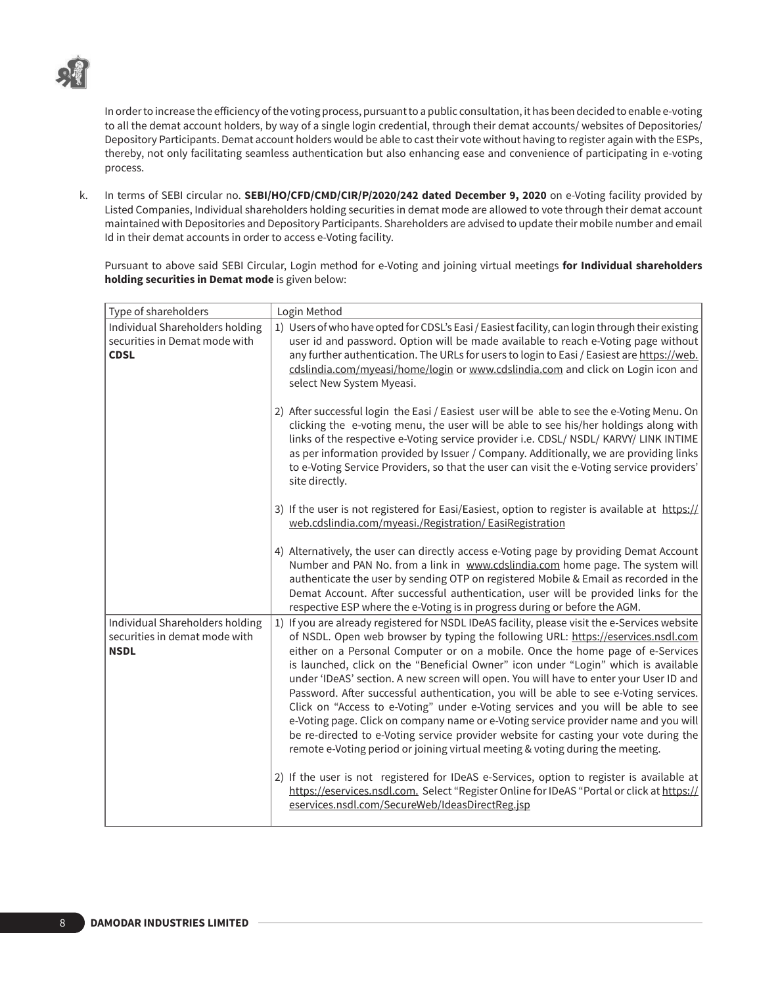

In order to increase the efficiency of the voting process, pursuant to a public consultation, it has been decided to enable e-voting to all the demat account holders, by way of a single login credential, through their demat accounts/ websites of Depositories/ Depository Participants. Demat account holders would be able to cast their vote without having to register again with the ESPs, thereby, not only facilitating seamless authentication but also enhancing ease and convenience of participating in e-voting process.

k. In terms of SEBI circular no. **SEBI/HO/CFD/CMD/CIR/P/2020/242 dated December 9, 2020** on e-Voting facility provided by Listed Companies, Individual shareholders holding securities in demat mode are allowed to vote through their demat account maintained with Depositories and Depository Participants. Shareholders are advised to update their mobile number and email Id in their demat accounts in order to access e-Voting facility.

Pursuant to above said SEBI Circular, Login method for e-Voting and joining virtual meetings **for Individual shareholders holding securities in Demat mode** is given below:

| Type of shareholders                                                            | Login Method                                                                                                                                                                                                                                                                                                                                                                                                                                                                                                                                                                                                                                                                                                                                                                                                                                                                                                                                                                                     |
|---------------------------------------------------------------------------------|--------------------------------------------------------------------------------------------------------------------------------------------------------------------------------------------------------------------------------------------------------------------------------------------------------------------------------------------------------------------------------------------------------------------------------------------------------------------------------------------------------------------------------------------------------------------------------------------------------------------------------------------------------------------------------------------------------------------------------------------------------------------------------------------------------------------------------------------------------------------------------------------------------------------------------------------------------------------------------------------------|
| Individual Shareholders holding<br>securities in Demat mode with<br><b>CDSL</b> | 1) Users of who have opted for CDSL's Easi / Easiest facility, can login through their existing<br>user id and password. Option will be made available to reach e-Voting page without<br>any further authentication. The URLs for users to login to Easi / Easiest are https://web.<br>cdslindia.com/myeasi/home/login or www.cdslindia.com and click on Login icon and<br>select New System Myeasi.                                                                                                                                                                                                                                                                                                                                                                                                                                                                                                                                                                                             |
|                                                                                 | 2) After successful login the Easi / Easiest user will be able to see the e-Voting Menu. On<br>clicking the e-voting menu, the user will be able to see his/her holdings along with<br>links of the respective e-Voting service provider i.e. CDSL/ NSDL/ KARVY/ LINK INTIME<br>as per information provided by Issuer / Company. Additionally, we are providing links<br>to e-Voting Service Providers, so that the user can visit the e-Voting service providers'<br>site directly.                                                                                                                                                                                                                                                                                                                                                                                                                                                                                                             |
|                                                                                 | 3) If the user is not registered for Easi/Easiest, option to register is available at https://<br>web.cdslindia.com/myeasi./Registration/EasiRegistration                                                                                                                                                                                                                                                                                                                                                                                                                                                                                                                                                                                                                                                                                                                                                                                                                                        |
|                                                                                 | 4) Alternatively, the user can directly access e-Voting page by providing Demat Account<br>Number and PAN No. from a link in www.cdslindia.com home page. The system will<br>authenticate the user by sending OTP on registered Mobile & Email as recorded in the<br>Demat Account. After successful authentication, user will be provided links for the<br>respective ESP where the e-Voting is in progress during or before the AGM.                                                                                                                                                                                                                                                                                                                                                                                                                                                                                                                                                           |
| Individual Shareholders holding<br>securities in demat mode with<br><b>NSDL</b> | 1) If you are already registered for NSDL IDeAS facility, please visit the e-Services website<br>of NSDL. Open web browser by typing the following URL: https://eservices.nsdl.com<br>either on a Personal Computer or on a mobile. Once the home page of e-Services<br>is launched, click on the "Beneficial Owner" icon under "Login" which is available<br>under 'IDeAS' section. A new screen will open. You will have to enter your User ID and<br>Password. After successful authentication, you will be able to see e-Voting services.<br>Click on "Access to e-Voting" under e-Voting services and you will be able to see<br>e-Voting page. Click on company name or e-Voting service provider name and you will<br>be re-directed to e-Voting service provider website for casting your vote during the<br>remote e-Voting period or joining virtual meeting & voting during the meeting.<br>2) If the user is not registered for IDeAS e-Services, option to register is available at |
|                                                                                 | https://eservices.nsdl.com. Select "Register Online for IDeAS "Portal or click at https://<br>eservices.nsdl.com/SecureWeb/IdeasDirectReg.jsp                                                                                                                                                                                                                                                                                                                                                                                                                                                                                                                                                                                                                                                                                                                                                                                                                                                    |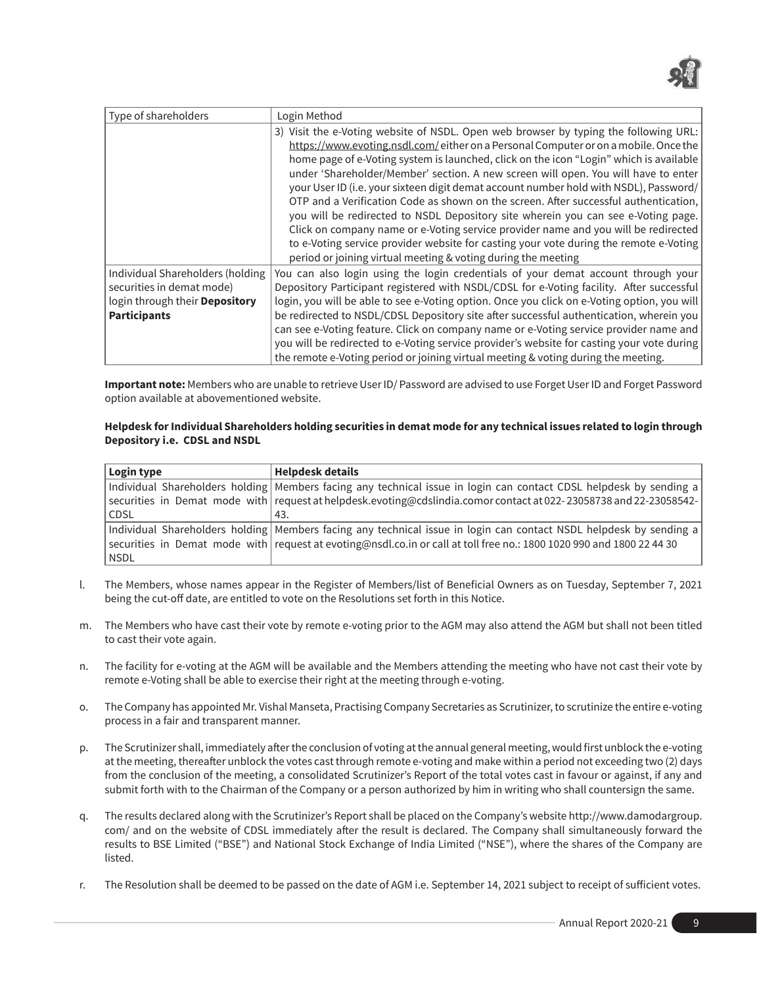

| Type of shareholders                                                                                                   | Login Method                                                                                                                                                                                                                                                                                                                                                                                                                                                                                                                                                                                                                                                                                                                                                                                                                                                                      |
|------------------------------------------------------------------------------------------------------------------------|-----------------------------------------------------------------------------------------------------------------------------------------------------------------------------------------------------------------------------------------------------------------------------------------------------------------------------------------------------------------------------------------------------------------------------------------------------------------------------------------------------------------------------------------------------------------------------------------------------------------------------------------------------------------------------------------------------------------------------------------------------------------------------------------------------------------------------------------------------------------------------------|
|                                                                                                                        | 3) Visit the e-Voting website of NSDL. Open web browser by typing the following URL:<br>https://www.evoting.nsdl.com/either on a Personal Computer or on a mobile. Once the<br>home page of e-Voting system is launched, click on the icon "Login" which is available<br>under 'Shareholder/Member' section. A new screen will open. You will have to enter<br>your User ID (i.e. your sixteen digit demat account number hold with NSDL), Password/<br>OTP and a Verification Code as shown on the screen. After successful authentication,<br>you will be redirected to NSDL Depository site wherein you can see e-Voting page.<br>Click on company name or e-Voting service provider name and you will be redirected<br>to e-Voting service provider website for casting your vote during the remote e-Voting<br>period or joining virtual meeting & voting during the meeting |
| Individual Shareholders (holding<br>securities in demat mode)<br>login through their Depository<br><b>Participants</b> | You can also login using the login credentials of your demat account through your<br>Depository Participant registered with NSDL/CDSL for e-Voting facility. After successful<br>login, you will be able to see e-Voting option. Once you click on e-Voting option, you will<br>be redirected to NSDL/CDSL Depository site after successful authentication, wherein you<br>can see e-Voting feature. Click on company name or e-Voting service provider name and<br>you will be redirected to e-Voting service provider's website for casting your vote during<br>the remote e-Voting period or joining virtual meeting & voting during the meeting.                                                                                                                                                                                                                              |

**Important note:** Members who are unable to retrieve User ID/ Password are advised to use Forget User ID and Forget Password option available at abovementioned website.

### **Helpdesk for Individual Shareholders holding securities in demat mode for any technical issues related to login through Depository i.e. CDSL and NSDL**

| Login type | <b>Helpdesk details</b>                                                                                               |
|------------|-----------------------------------------------------------------------------------------------------------------------|
|            | Individual Shareholders holding Members facing any technical issue in login can contact CDSL helpdesk by sending a    |
|            | securities in Demat mode with   request at helpdesk.evoting@cdslindia.comor contact at 022-23058738 and 22-23058542-  |
| CDSL       | 43.                                                                                                                   |
|            | Individual Shareholders holding Members facing any technical issue in login can contact NSDL helpdesk by sending a    |
|            | securities in Demat mode with request at evoting@nsdl.co.in or call at toll free no.: 1800 1020 990 and 1800 22 44 30 |
| NSDL       |                                                                                                                       |

- l. The Members, whose names appear in the Register of Members/list of Beneficial Owners as on Tuesday, September 7, 2021 being the cut-off date, are entitled to vote on the Resolutions set forth in this Notice.
- m. The Members who have cast their vote by remote e-voting prior to the AGM may also attend the AGM but shall not been titled to cast their vote again.
- n. The facility for e-voting at the AGM will be available and the Members attending the meeting who have not cast their vote by remote e-Voting shall be able to exercise their right at the meeting through e-voting.
- o. The Company has appointed Mr. Vishal Manseta, Practising Company Secretaries as Scrutinizer, to scrutinize the entire e-voting process in a fair and transparent manner.
- p. The Scrutinizer shall, immediately after the conclusion of voting at the annual general meeting, would first unblock the e-voting at the meeting, thereafter unblock the votes cast through remote e-voting and make within a period not exceeding two (2) days from the conclusion of the meeting, a consolidated Scrutinizer's Report of the total votes cast in favour or against, if any and submit forth with to the Chairman of the Company or a person authorized by him in writing who shall countersign the same.
- q. The results declared along with the Scrutinizer's Report shall be placed on the Company's website http://www.damodargroup. com/ and on the website of CDSL immediately after the result is declared. The Company shall simultaneously forward the results to BSE Limited ("BSE") and National Stock Exchange of India Limited ("NSE"), where the shares of the Company are listed.
- r. The Resolution shall be deemed to be passed on the date of AGM i.e. September 14, 2021 subject to receipt of sufficient votes.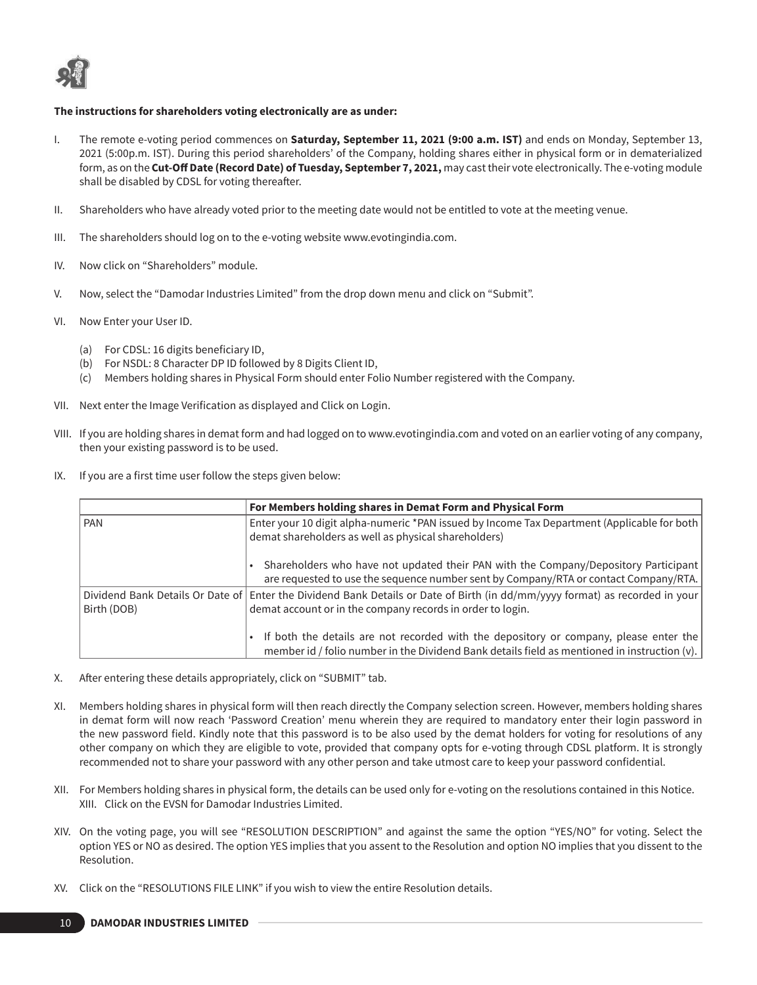

## **The instructions for shareholders voting electronically are as under:**

- I. The remote e-voting period commences on **Saturday, September 11, 2021 (9:00 a.m. IST)** and ends on Monday, September 13, 2021 (5:00p.m. IST). During this period shareholders' of the Company, holding shares either in physical form or in dematerialized form, as on the **Cut-Off Date (Record Date) of Tuesday, September 7, 2021,** may cast their vote electronically. The e-voting module shall be disabled by CDSL for voting thereafter.
- II. Shareholders who have already voted prior to the meeting date would not be entitled to vote at the meeting venue.
- III. The shareholders should log on to the e-voting website www.evotingindia.com.
- IV. Now click on "Shareholders" module.
- V. Now, select the "Damodar Industries Limited" from the drop down menu and click on "Submit".
- VI. Now Enter your User ID.
	- (a) For CDSL: 16 digits beneficiary ID,
	- (b) For NSDL: 8 Character DP ID followed by 8 Digits Client ID,
	- (c) Members holding shares in Physical Form should enter Folio Number registered with the Company.
- VII. Next enter the Image Verification as displayed and Click on Login.
- VIII. If you are holding shares in demat form and had logged on to www.evotingindia.com and voted on an earlier voting of any company, then your existing password is to be used.
- IX. If you are a first time user follow the steps given below:

|             | For Members holding shares in Demat Form and Physical Form                                                                                                                                 |
|-------------|--------------------------------------------------------------------------------------------------------------------------------------------------------------------------------------------|
| l PAN       | Enter your 10 digit alpha-numeric *PAN issued by Income Tax Department (Applicable for both<br>demat shareholders as well as physical shareholders)                                        |
|             | Shareholders who have not updated their PAN with the Company/Depository Participant<br>are requested to use the sequence number sent by Company/RTA or contact Company/RTA.                |
| Birth (DOB) | Dividend Bank Details Or Date of Enter the Dividend Bank Details or Date of Birth (in dd/mm/yyyy format) as recorded in your<br>demat account or in the company records in order to login. |
|             | If both the details are not recorded with the depository or company, please enter the<br>member id / folio number in the Dividend Bank details field as mentioned in instruction (v).      |

- X. After entering these details appropriately, click on "SUBMIT" tab.
- XI. Members holding shares in physical form will then reach directly the Company selection screen. However, members holding shares in demat form will now reach 'Password Creation' menu wherein they are required to mandatory enter their login password in the new password field. Kindly note that this password is to be also used by the demat holders for voting for resolutions of any other company on which they are eligible to vote, provided that company opts for e-voting through CDSL platform. It is strongly recommended not to share your password with any other person and take utmost care to keep your password confidential.
- XII. For Members holding shares in physical form, the details can be used only for e-voting on the resolutions contained in this Notice. XIII. Click on the EVSN for Damodar Industries Limited.
- XIV. On the voting page, you will see "RESOLUTION DESCRIPTION" and against the same the option "YES/NO" for voting. Select the option YES or NO as desired. The option YES implies that you assent to the Resolution and option NO implies that you dissent to the Resolution.
- XV. Click on the "RESOLUTIONS FILE LINK" if you wish to view the entire Resolution details.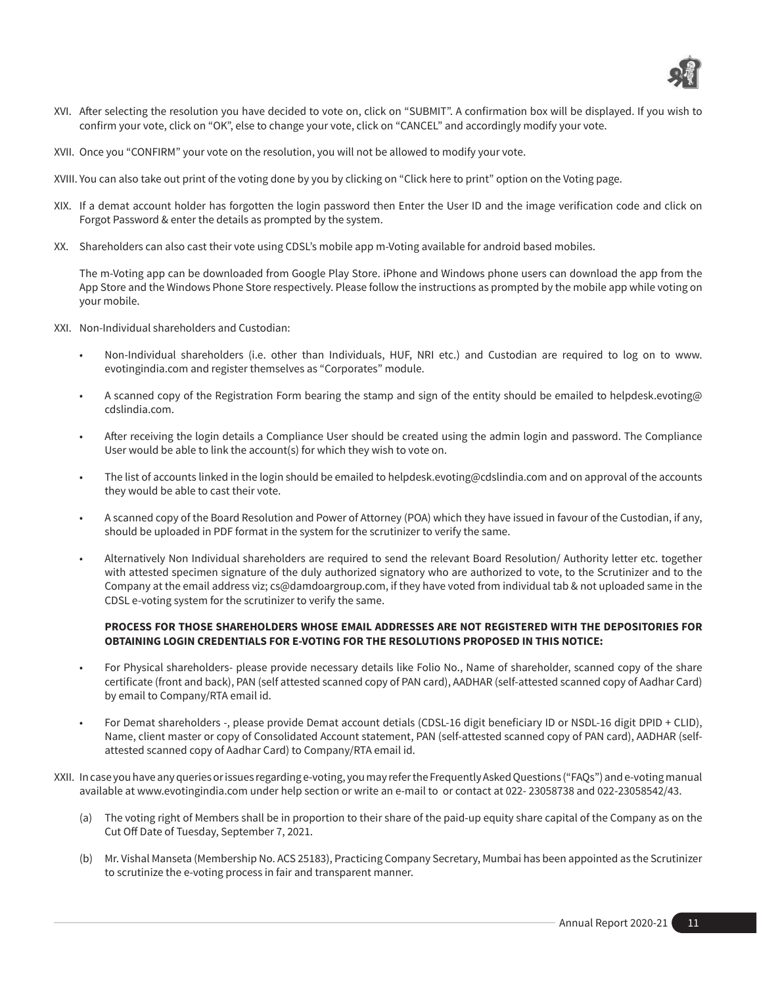

- XVI. After selecting the resolution you have decided to vote on, click on "SUBMIT". A confirmation box will be displayed. If you wish to confirm your vote, click on "OK", else to change your vote, click on "CANCEL" and accordingly modify your vote.
- XVII. Once you "CONFIRM" your vote on the resolution, you will not be allowed to modify your vote.
- XVIII. You can also take out print of the voting done by you by clicking on "Click here to print" option on the Voting page.
- XIX. If a demat account holder has forgotten the login password then Enter the User ID and the image verification code and click on Forgot Password & enter the details as prompted by the system.
- XX. Shareholders can also cast their vote using CDSL's mobile app m-Voting available for android based mobiles.

The m-Voting app can be downloaded from Google Play Store. iPhone and Windows phone users can download the app from the App Store and the Windows Phone Store respectively. Please follow the instructions as prompted by the mobile app while voting on your mobile.

XXI. Non-Individual shareholders and Custodian:

- Non-Individual shareholders (i.e. other than Individuals, HUF, NRI etc.) and Custodian are required to log on to www. evotingindia.com and register themselves as "Corporates" module.
- A scanned copy of the Registration Form bearing the stamp and sign of the entity should be emailed to helpdesk.evoting@ cdslindia.com.
- After receiving the login details a Compliance User should be created using the admin login and password. The Compliance User would be able to link the account(s) for which they wish to vote on.
- The list of accounts linked in the login should be emailed to helpdesk.evoting@cdslindia.com and on approval of the accounts they would be able to cast their vote.
- A scanned copy of the Board Resolution and Power of Attorney (POA) which they have issued in favour of the Custodian, if any, should be uploaded in PDF format in the system for the scrutinizer to verify the same.
- Alternatively Non Individual shareholders are required to send the relevant Board Resolution/ Authority letter etc. together with attested specimen signature of the duly authorized signatory who are authorized to vote, to the Scrutinizer and to the Company at the email address viz; cs@damdoargroup.com, if they have voted from individual tab & not uploaded same in the CDSL e-voting system for the scrutinizer to verify the same.

## **PROCESS FOR THOSE SHAREHOLDERS WHOSE EMAIL ADDRESSES ARE NOT REGISTERED WITH THE DEPOSITORIES FOR OBTAINING LOGIN CREDENTIALS FOR E-VOTING FOR THE RESOLUTIONS PROPOSED IN THIS NOTICE:**

- For Physical shareholders- please provide necessary details like Folio No., Name of shareholder, scanned copy of the share certificate (front and back), PAN (self attested scanned copy of PAN card), AADHAR (self-attested scanned copy of Aadhar Card) by email to Company/RTA email id.
- For Demat shareholders -, please provide Demat account detials (CDSL-16 digit beneficiary ID or NSDL-16 digit DPID + CLID), Name, client master or copy of Consolidated Account statement, PAN (self-attested scanned copy of PAN card), AADHAR (selfattested scanned copy of Aadhar Card) to Company/RTA email id.
- XXII. In case you have any queries or issues regarding e-voting, you may refer the Frequently Asked Questions ("FAQs") and e-voting manual available at www.evotingindia.com under help section or write an e-mail to or contact at 022- 23058738 and 022-23058542/43.
	- (a) The voting right of Members shall be in proportion to their share of the paid-up equity share capital of the Company as on the Cut Off Date of Tuesday, September 7, 2021.
	- (b) Mr. Vishal Manseta (Membership No. ACS 25183), Practicing Company Secretary, Mumbai has been appointed as the Scrutinizer to scrutinize the e-voting process in fair and transparent manner.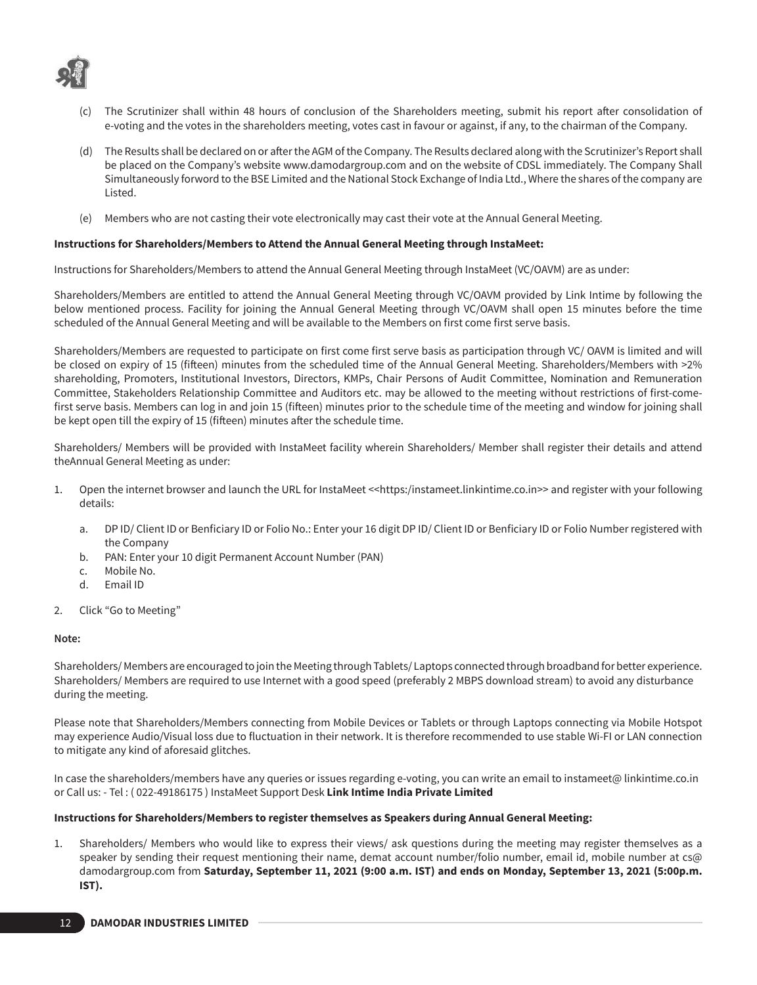

- (c) The Scrutinizer shall within 48 hours of conclusion of the Shareholders meeting, submit his report after consolidation of e-voting and the votes in the shareholders meeting, votes cast in favour or against, if any, to the chairman of the Company.
- (d) The Results shall be declared on or after the AGM of the Company. The Results declared along with the Scrutinizer's Report shall be placed on the Company's website www.damodargroup.com and on the website of CDSL immediately. The Company Shall Simultaneously forword to the BSE Limited and the National Stock Exchange of India Ltd., Where the shares of the company are Listed.
- (e) Members who are not casting their vote electronically may cast their vote at the Annual General Meeting.

### **Instructions for Shareholders/Members to Attend the Annual General Meeting through InstaMeet:**

Instructions for Shareholders/Members to attend the Annual General Meeting through InstaMeet (VC/OAVM) are as under:

Shareholders/Members are entitled to attend the Annual General Meeting through VC/OAVM provided by Link Intime by following the below mentioned process. Facility for joining the Annual General Meeting through VC/OAVM shall open 15 minutes before the time scheduled of the Annual General Meeting and will be available to the Members on first come first serve basis.

Shareholders/Members are requested to participate on first come first serve basis as participation through VC/ OAVM is limited and will be closed on expiry of 15 (fifteen) minutes from the scheduled time of the Annual General Meeting. Shareholders/Members with >2% shareholding, Promoters, Institutional Investors, Directors, KMPs, Chair Persons of Audit Committee, Nomination and Remuneration Committee, Stakeholders Relationship Committee and Auditors etc. may be allowed to the meeting without restrictions of first-comefirst serve basis. Members can log in and join 15 (fifteen) minutes prior to the schedule time of the meeting and window for joining shall be kept open till the expiry of 15 (fifteen) minutes after the schedule time.

Shareholders/ Members will be provided with InstaMeet facility wherein Shareholders/ Member shall register their details and attend theAnnual General Meeting as under:

- 1. Open the internet browser and launch the URL for InstaMeet <<https:/instameet.linkintime.co.in>> and register with your following details:
	- a. DP ID/ Client ID or Benficiary ID or Folio No.: Enter your 16 digit DP ID/ Client ID or Benficiary ID or Folio Number registered with the Company
	- b. PAN: Enter your 10 digit Permanent Account Number (PAN)
	- c. Mobile No.
	- d. Email ID
- 2. Click "Go to Meeting"

### **Note:**

Shareholders/ Members are encouraged to join the Meeting through Tablets/ Laptops connected through broadband for better experience. Shareholders/ Members are required to use Internet with a good speed (preferably 2 MBPS download stream) to avoid any disturbance during the meeting.

Please note that Shareholders/Members connecting from Mobile Devices or Tablets or through Laptops connecting via Mobile Hotspot may experience Audio/Visual loss due to fluctuation in their network. It is therefore recommended to use stable Wi-FI or LAN connection to mitigate any kind of aforesaid glitches.

In case the shareholders/members have any queries or issues regarding e-voting, you can write an email to instameet@ linkintime.co.in or Call us: - Tel : ( 022-49186175 ) InstaMeet Support Desk **Link Intime India Private Limited**

### **Instructions for Shareholders/Members to register themselves as Speakers during Annual General Meeting:**

1. Shareholders/ Members who would like to express their views/ ask questions during the meeting may register themselves as a speaker by sending their request mentioning their name, demat account number/folio number, email id, mobile number at cs@ damodargroup.com from **Saturday, September 11, 2021 (9:00 a.m. IST) and ends on Monday, September 13, 2021 (5:00p.m. IST).**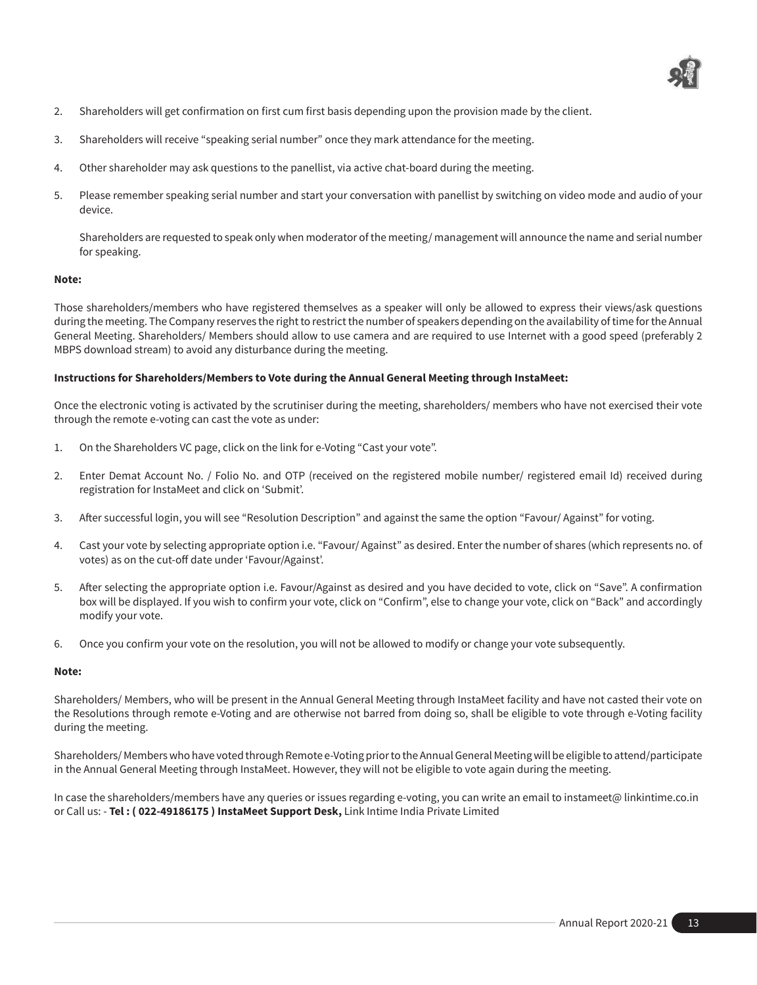

- 2. Shareholders will get confirmation on first cum first basis depending upon the provision made by the client.
- 3. Shareholders will receive "speaking serial number" once they mark attendance for the meeting.
- 4. Other shareholder may ask questions to the panellist, via active chat-board during the meeting.
- 5. Please remember speaking serial number and start your conversation with panellist by switching on video mode and audio of your device.

Shareholders are requested to speak only when moderator of the meeting/ management will announce the name and serial number for speaking.

### **Note:**

Those shareholders/members who have registered themselves as a speaker will only be allowed to express their views/ask questions during the meeting. The Company reserves the right to restrict the number of speakers depending on the availability of time for the Annual General Meeting. Shareholders/ Members should allow to use camera and are required to use Internet with a good speed (preferably 2 MBPS download stream) to avoid any disturbance during the meeting.

### **Instructions for Shareholders/Members to Vote during the Annual General Meeting through InstaMeet:**

Once the electronic voting is activated by the scrutiniser during the meeting, shareholders/ members who have not exercised their vote through the remote e-voting can cast the vote as under:

- 1. On the Shareholders VC page, click on the link for e-Voting "Cast your vote".
- 2. Enter Demat Account No. / Folio No. and OTP (received on the registered mobile number/ registered email Id) received during registration for InstaMeet and click on 'Submit'.
- 3. After successful login, you will see "Resolution Description" and against the same the option "Favour/ Against" for voting.
- 4. Cast your vote by selecting appropriate option i.e. "Favour/ Against" as desired. Enter the number of shares (which represents no. of votes) as on the cut-off date under 'Favour/Against'.
- 5. After selecting the appropriate option i.e. Favour/Against as desired and you have decided to vote, click on "Save". A confirmation box will be displayed. If you wish to confirm your vote, click on "Confirm", else to change your vote, click on "Back" and accordingly modify your vote.
- 6. Once you confirm your vote on the resolution, you will not be allowed to modify or change your vote subsequently.

### **Note:**

Shareholders/ Members, who will be present in the Annual General Meeting through InstaMeet facility and have not casted their vote on the Resolutions through remote e-Voting and are otherwise not barred from doing so, shall be eligible to vote through e-Voting facility during the meeting.

Shareholders/ Members who have voted through Remote e-Voting prior to the Annual General Meeting will be eligible to attend/participate in the Annual General Meeting through InstaMeet. However, they will not be eligible to vote again during the meeting.

In case the shareholders/members have any queries or issues regarding e-voting, you can write an email to instameet@ linkintime.co.in or Call us: - **Tel : ( 022-49186175 ) InstaMeet Support Desk,** Link Intime India Private Limited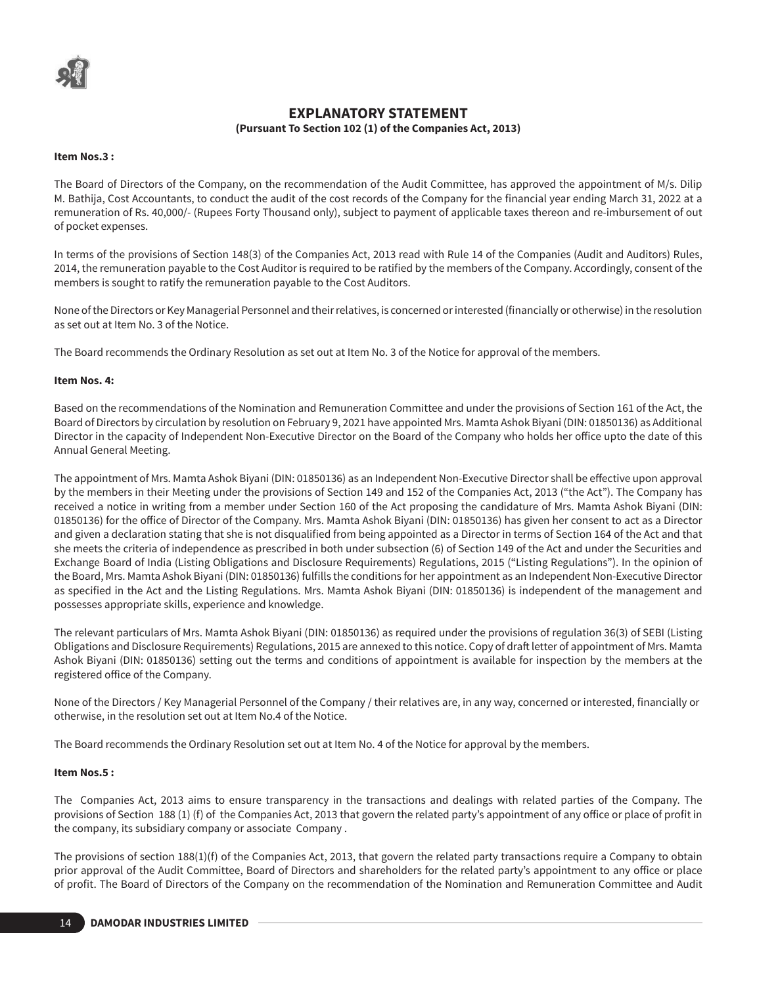# **EXPLANATORY STATEMENT (Pursuant To Section 102 (1) of the Companies Act, 2013)**

#### **Item Nos.3 :**

The Board of Directors of the Company, on the recommendation of the Audit Committee, has approved the appointment of M/s. Dilip M. Bathija, Cost Accountants, to conduct the audit of the cost records of the Company for the financial year ending March 31, 2022 at a remuneration of Rs. 40,000/- (Rupees Forty Thousand only), subject to payment of applicable taxes thereon and re-imbursement of out of pocket expenses.

In terms of the provisions of Section 148(3) of the Companies Act, 2013 read with Rule 14 of the Companies (Audit and Auditors) Rules, 2014, the remuneration payable to the Cost Auditor is required to be ratified by the members of the Company. Accordingly, consent of the members is sought to ratify the remuneration payable to the Cost Auditors.

None of the Directors or Key Managerial Personnel and their relatives, is concerned or interested (financially or otherwise) in the resolution as set out at Item No. 3 of the Notice.

The Board recommends the Ordinary Resolution as set out at Item No. 3 of the Notice for approval of the members.

### **Item Nos. 4:**

Based on the recommendations of the Nomination and Remuneration Committee and under the provisions of Section 161 of the Act, the Board of Directors by circulation by resolution on February 9, 2021 have appointed Mrs. Mamta Ashok Biyani (DIN: 01850136) as Additional Director in the capacity of Independent Non-Executive Director on the Board of the Company who holds her office upto the date of this Annual General Meeting.

The appointment of Mrs. Mamta Ashok Biyani (DIN: 01850136) as an Independent Non-Executive Director shall be effective upon approval by the members in their Meeting under the provisions of Section 149 and 152 of the Companies Act, 2013 ("the Act"). The Company has received a notice in writing from a member under Section 160 of the Act proposing the candidature of Mrs. Mamta Ashok Biyani (DIN: 01850136) for the office of Director of the Company. Mrs. Mamta Ashok Biyani (DIN: 01850136) has given her consent to act as a Director and given a declaration stating that she is not disqualified from being appointed as a Director in terms of Section 164 of the Act and that she meets the criteria of independence as prescribed in both under subsection (6) of Section 149 of the Act and under the Securities and Exchange Board of India (Listing Obligations and Disclosure Requirements) Regulations, 2015 ("Listing Regulations"). In the opinion of the Board, Mrs. Mamta Ashok Biyani (DIN: 01850136) fulfills the conditions for her appointment as an Independent Non-Executive Director as specified in the Act and the Listing Regulations. Mrs. Mamta Ashok Biyani (DIN: 01850136) is independent of the management and possesses appropriate skills, experience and knowledge.

The relevant particulars of Mrs. Mamta Ashok Biyani (DIN: 01850136) as required under the provisions of regulation 36(3) of SEBI (Listing Obligations and Disclosure Requirements) Regulations, 2015 are annexed to this notice. Copy of draft letter of appointment of Mrs. Mamta Ashok Biyani (DIN: 01850136) setting out the terms and conditions of appointment is available for inspection by the members at the registered office of the Company.

None of the Directors / Key Managerial Personnel of the Company / their relatives are, in any way, concerned or interested, financially or otherwise, in the resolution set out at Item No.4 of the Notice.

The Board recommends the Ordinary Resolution set out at Item No. 4 of the Notice for approval by the members.

### **Item Nos.5 :**

The Companies Act, 2013 aims to ensure transparency in the transactions and dealings with related parties of the Company. The provisions of Section 188 (1) (f) of the Companies Act, 2013 that govern the related party's appointment of any office or place of profit in the company, its subsidiary company or associate Company .

The provisions of section 188(1)(f) of the Companies Act, 2013, that govern the related party transactions require a Company to obtain prior approval of the Audit Committee, Board of Directors and shareholders for the related party's appointment to any office or place of profit. The Board of Directors of the Company on the recommendation of the Nomination and Remuneration Committee and Audit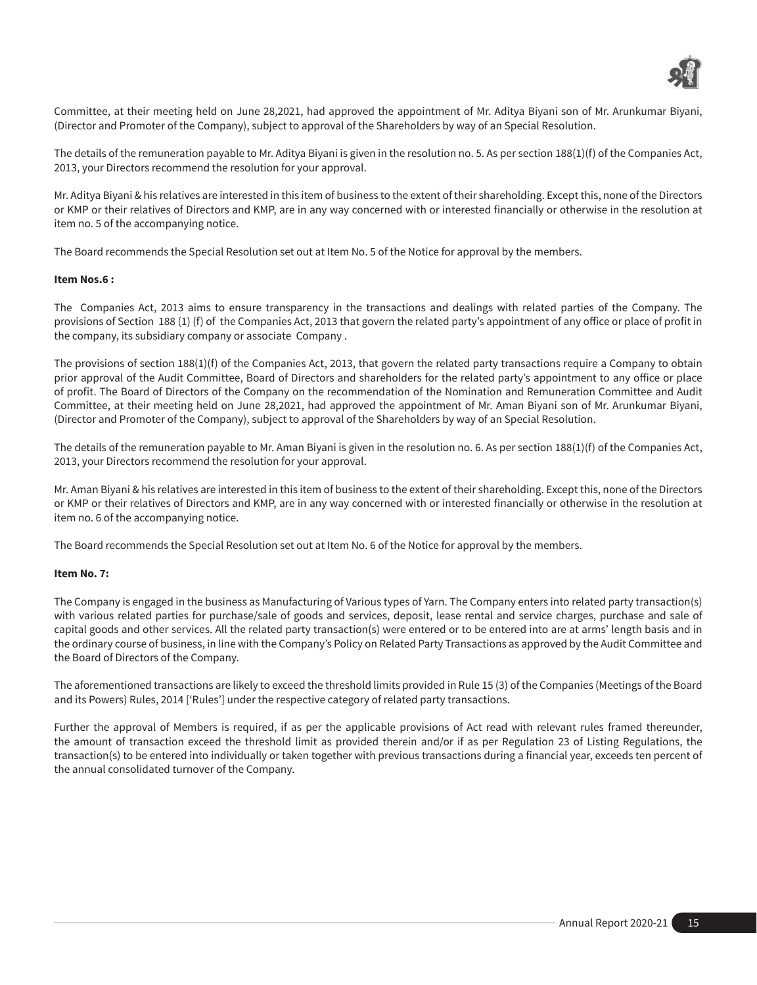

Committee, at their meeting held on June 28,2021, had approved the appointment of Mr. Aditya Biyani son of Mr. Arunkumar Biyani, (Director and Promoter of the Company), subject to approval of the Shareholders by way of an Special Resolution.

The details of the remuneration payable to Mr. Aditya Biyani is given in the resolution no. 5. As per section 188(1)(f) of the Companies Act, 2013, your Directors recommend the resolution for your approval.

Mr. Aditya Biyani & his relatives are interested in this item of business to the extent of their shareholding. Except this, none of the Directors or KMP or their relatives of Directors and KMP, are in any way concerned with or interested financially or otherwise in the resolution at item no. 5 of the accompanying notice.

The Board recommends the Special Resolution set out at Item No. 5 of the Notice for approval by the members.

#### **Item Nos.6 :**

The Companies Act, 2013 aims to ensure transparency in the transactions and dealings with related parties of the Company. The provisions of Section 188 (1) (f) of the Companies Act, 2013 that govern the related party's appointment of any office or place of profit in the company, its subsidiary company or associate Company .

The provisions of section 188(1)(f) of the Companies Act, 2013, that govern the related party transactions require a Company to obtain prior approval of the Audit Committee, Board of Directors and shareholders for the related party's appointment to any office or place of profit. The Board of Directors of the Company on the recommendation of the Nomination and Remuneration Committee and Audit Committee, at their meeting held on June 28,2021, had approved the appointment of Mr. Aman Biyani son of Mr. Arunkumar Biyani, (Director and Promoter of the Company), subject to approval of the Shareholders by way of an Special Resolution.

The details of the remuneration payable to Mr. Aman Biyani is given in the resolution no. 6. As per section 188(1)(f) of the Companies Act, 2013, your Directors recommend the resolution for your approval.

Mr. Aman Biyani & his relatives are interested in this item of business to the extent of their shareholding. Except this, none of the Directors or KMP or their relatives of Directors and KMP, are in any way concerned with or interested financially or otherwise in the resolution at item no. 6 of the accompanying notice.

The Board recommends the Special Resolution set out at Item No. 6 of the Notice for approval by the members.

#### **Item No. 7:**

The Company is engaged in the business as Manufacturing of Various types of Yarn. The Company enters into related party transaction(s) with various related parties for purchase/sale of goods and services, deposit, lease rental and service charges, purchase and sale of capital goods and other services. All the related party transaction(s) were entered or to be entered into are at arms' length basis and in the ordinary course of business, in line with the Company's Policy on Related Party Transactions as approved by the Audit Committee and the Board of Directors of the Company.

The aforementioned transactions are likely to exceed the threshold limits provided in Rule 15 (3) of the Companies (Meetings of the Board and its Powers) Rules, 2014 ['Rules'] under the respective category of related party transactions.

Further the approval of Members is required, if as per the applicable provisions of Act read with relevant rules framed thereunder, the amount of transaction exceed the threshold limit as provided therein and/or if as per Regulation 23 of Listing Regulations, the transaction(s) to be entered into individually or taken together with previous transactions during a financial year, exceeds ten percent of the annual consolidated turnover of the Company.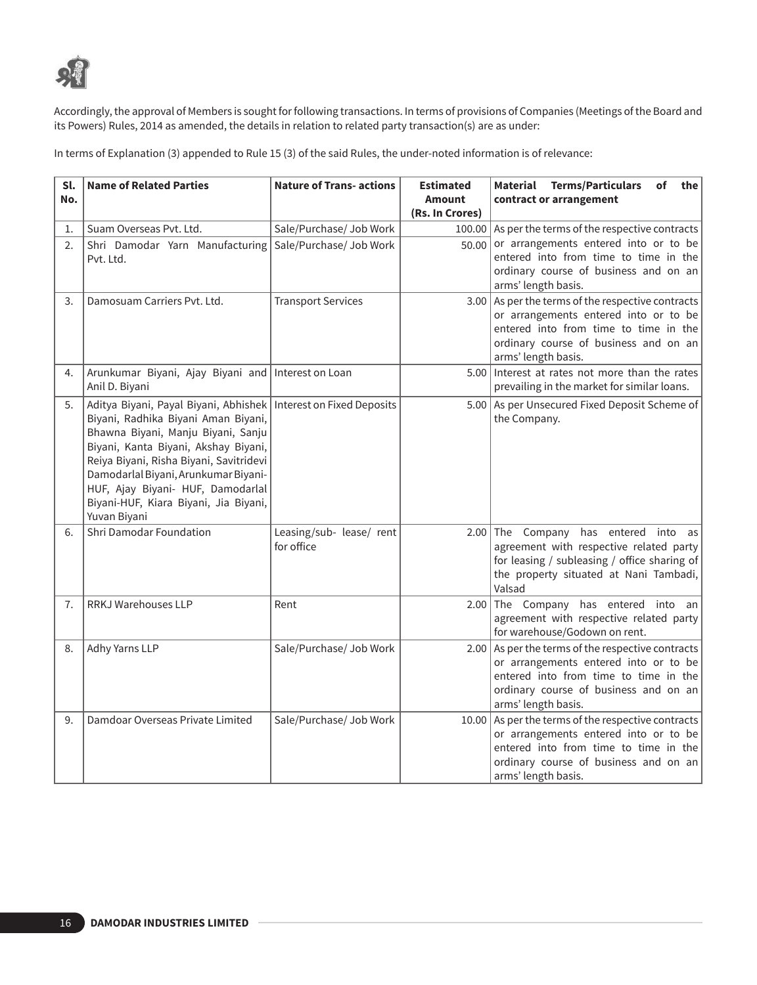

Accordingly, the approval of Members is sought for following transactions. In terms of provisions of Companies (Meetings of the Board and its Powers) Rules, 2014 as amended, the details in relation to related party transaction(s) are as under:

In terms of Explanation (3) appended to Rule 15 (3) of the said Rules, the under-noted information is of relevance:

| Sl.<br>No. | <b>Name of Related Parties</b>                                                                                                                                                                                                                                                                                                                                           | <b>Nature of Trans- actions</b>        | <b>Estimated</b><br><b>Amount</b> | Material Terms/Particulars<br>of<br>the<br>contract or arrangement                                                                                                                                     |
|------------|--------------------------------------------------------------------------------------------------------------------------------------------------------------------------------------------------------------------------------------------------------------------------------------------------------------------------------------------------------------------------|----------------------------------------|-----------------------------------|--------------------------------------------------------------------------------------------------------------------------------------------------------------------------------------------------------|
|            |                                                                                                                                                                                                                                                                                                                                                                          |                                        | (Rs. In Crores)                   |                                                                                                                                                                                                        |
| 1.         | Suam Overseas Pvt. Ltd.                                                                                                                                                                                                                                                                                                                                                  | Sale/Purchase/ Job Work                | 100.00                            | As per the terms of the respective contracts                                                                                                                                                           |
| 2.         | Shri Damodar Yarn Manufacturing<br>Pvt. Ltd.                                                                                                                                                                                                                                                                                                                             | Sale/Purchase/ Job Work                | 50.00                             | or arrangements entered into or to be<br>entered into from time to time in the<br>ordinary course of business and on an<br>arms' length basis.                                                         |
| 3.         | Damosuam Carriers Pvt. Ltd.                                                                                                                                                                                                                                                                                                                                              | <b>Transport Services</b>              | 3.00                              | $\vert$ As per the terms of the respective contracts<br>or arrangements entered into or to be<br>entered into from time to time in the<br>ordinary course of business and on an<br>arms' length basis. |
| 4.         | Arunkumar Biyani, Ajay Biyani and Interest on Loan<br>Anil D. Biyani                                                                                                                                                                                                                                                                                                     |                                        |                                   | 5.00 Interest at rates not more than the rates<br>prevailing in the market for similar loans.                                                                                                          |
| 5.         | Aditya Biyani, Payal Biyani, Abhishek   Interest on Fixed Deposits<br>Biyani, Radhika Biyani Aman Biyani,<br>Bhawna Biyani, Manju Biyani, Sanju<br>Biyani, Kanta Biyani, Akshay Biyani,<br>Reiya Biyani, Risha Biyani, Savitridevi<br>Damodarlal Biyani, Arunkumar Biyani-<br>HUF, Ajay Biyani- HUF, Damodarlal<br>Biyani-HUF, Kiara Biyani, Jia Biyani,<br>Yuvan Biyani |                                        |                                   | 5.00 As per Unsecured Fixed Deposit Scheme of<br>the Company.                                                                                                                                          |
| 6.         | Shri Damodar Foundation                                                                                                                                                                                                                                                                                                                                                  | Leasing/sub- lease/ rent<br>for office |                                   | 2.00 The Company has entered into as<br>agreement with respective related party<br>for leasing / subleasing / office sharing of<br>the property situated at Nani Tambadi,<br>Valsad                    |
| 7.         | RRKJ Warehouses LLP                                                                                                                                                                                                                                                                                                                                                      | Rent                                   | 2.00                              | The Company has entered into an<br>agreement with respective related party<br>for warehouse/Godown on rent.                                                                                            |
| 8.         | Adhy Yarns LLP                                                                                                                                                                                                                                                                                                                                                           | Sale/Purchase/ Job Work                |                                   | 2.00 As per the terms of the respective contracts<br>or arrangements entered into or to be<br>entered into from time to time in the<br>ordinary course of business and on an<br>arms' length basis.    |
| 9.         | Damdoar Overseas Private Limited                                                                                                                                                                                                                                                                                                                                         | Sale/Purchase/ Job Work                |                                   | 10.00 As per the terms of the respective contracts<br>or arrangements entered into or to be<br>entered into from time to time in the<br>ordinary course of business and on an<br>arms' length basis.   |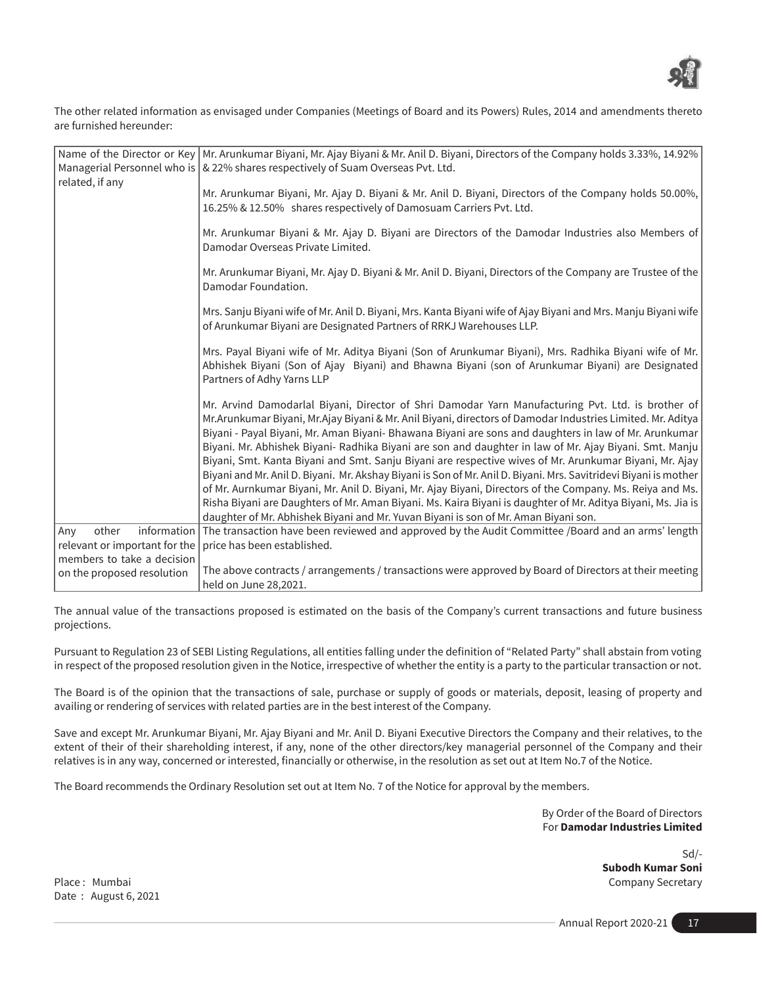

The other related information as envisaged under Companies (Meetings of Board and its Powers) Rules, 2014 and amendments thereto are furnished hereunder:

| Name of the Director or Key   Mr. Arunkumar Biyani, Mr. Ajay Biyani & Mr. Anil D. Biyani, Directors of the Company holds 3.33%, 14.92%                                                                                                                                                                                                                                                                                                                                                                                                                                                                                                                                                                                                                                                                                                                                                                                                                                               |
|--------------------------------------------------------------------------------------------------------------------------------------------------------------------------------------------------------------------------------------------------------------------------------------------------------------------------------------------------------------------------------------------------------------------------------------------------------------------------------------------------------------------------------------------------------------------------------------------------------------------------------------------------------------------------------------------------------------------------------------------------------------------------------------------------------------------------------------------------------------------------------------------------------------------------------------------------------------------------------------|
| Managerial Personnel who is   & 22% shares respectively of Suam Overseas Pvt. Ltd.                                                                                                                                                                                                                                                                                                                                                                                                                                                                                                                                                                                                                                                                                                                                                                                                                                                                                                   |
| Mr. Arunkumar Biyani, Mr. Ajay D. Biyani & Mr. Anil D. Biyani, Directors of the Company holds 50.00%,<br>16.25% & 12.50% shares respectively of Damosuam Carriers Pvt. Ltd.                                                                                                                                                                                                                                                                                                                                                                                                                                                                                                                                                                                                                                                                                                                                                                                                          |
| Mr. Arunkumar Biyani & Mr. Ajay D. Biyani are Directors of the Damodar Industries also Members of<br>Damodar Overseas Private Limited.                                                                                                                                                                                                                                                                                                                                                                                                                                                                                                                                                                                                                                                                                                                                                                                                                                               |
| Mr. Arunkumar Biyani, Mr. Ajay D. Biyani & Mr. Anil D. Biyani, Directors of the Company are Trustee of the<br>Damodar Foundation.                                                                                                                                                                                                                                                                                                                                                                                                                                                                                                                                                                                                                                                                                                                                                                                                                                                    |
| Mrs. Sanju Biyani wife of Mr. Anil D. Biyani, Mrs. Kanta Biyani wife of Ajay Biyani and Mrs. Manju Biyani wife<br>of Arunkumar Biyani are Designated Partners of RRKJ Warehouses LLP.                                                                                                                                                                                                                                                                                                                                                                                                                                                                                                                                                                                                                                                                                                                                                                                                |
| Mrs. Payal Biyani wife of Mr. Aditya Biyani (Son of Arunkumar Biyani), Mrs. Radhika Biyani wife of Mr.<br>Abhishek Biyani (Son of Ajay Biyani) and Bhawna Biyani (son of Arunkumar Biyani) are Designated<br>Partners of Adhy Yarns LLP                                                                                                                                                                                                                                                                                                                                                                                                                                                                                                                                                                                                                                                                                                                                              |
| Mr. Arvind Damodarlal Biyani, Director of Shri Damodar Yarn Manufacturing Pvt. Ltd. is brother of<br>Mr.Arunkumar Biyani, Mr.Ajay Biyani & Mr. Anil Biyani, directors of Damodar Industries Limited. Mr. Aditya<br>Biyani - Payal Biyani, Mr. Aman Biyani- Bhawana Biyani are sons and daughters in law of Mr. Arunkumar<br>Biyani. Mr. Abhishek Biyani- Radhika Biyani are son and daughter in law of Mr. Ajay Biyani. Smt. Manju<br>Biyani, Smt. Kanta Biyani and Smt. Sanju Biyani are respective wives of Mr. Arunkumar Biyani, Mr. Ajay<br>Biyani and Mr. Anil D. Biyani. Mr. Akshay Biyani is Son of Mr. Anil D. Biyani. Mrs. Savitridevi Biyani is mother<br>of Mr. Aurnkumar Biyani, Mr. Anil D. Biyani, Mr. Ajay Biyani, Directors of the Company. Ms. Reiya and Ms.<br>Risha Biyani are Daughters of Mr. Aman Biyani. Ms. Kaira Biyani is daughter of Mr. Aditya Biyani, Ms. Jia is<br>daughter of Mr. Abhishek Biyani and Mr. Yuvan Biyani is son of Mr. Aman Biyani son. |
| information The transaction have been reviewed and approved by the Audit Committee /Board and an arms' length                                                                                                                                                                                                                                                                                                                                                                                                                                                                                                                                                                                                                                                                                                                                                                                                                                                                        |
| relevant or important for the<br>price has been established.                                                                                                                                                                                                                                                                                                                                                                                                                                                                                                                                                                                                                                                                                                                                                                                                                                                                                                                         |
| members to take a decision                                                                                                                                                                                                                                                                                                                                                                                                                                                                                                                                                                                                                                                                                                                                                                                                                                                                                                                                                           |
| The above contracts / arrangements / transactions were approved by Board of Directors at their meeting<br>held on June 28,2021.                                                                                                                                                                                                                                                                                                                                                                                                                                                                                                                                                                                                                                                                                                                                                                                                                                                      |
|                                                                                                                                                                                                                                                                                                                                                                                                                                                                                                                                                                                                                                                                                                                                                                                                                                                                                                                                                                                      |

The annual value of the transactions proposed is estimated on the basis of the Company's current transactions and future business projections.

Pursuant to Regulation 23 of SEBI Listing Regulations, all entities falling under the definition of "Related Party" shall abstain from voting in respect of the proposed resolution given in the Notice, irrespective of whether the entity is a party to the particular transaction or not.

The Board is of the opinion that the transactions of sale, purchase or supply of goods or materials, deposit, leasing of property and availing or rendering of services with related parties are in the best interest of the Company.

Save and except Mr. Arunkumar Biyani, Mr. Ajay Biyani and Mr. Anil D. Biyani Executive Directors the Company and their relatives, to the extent of their of their shareholding interest, if any, none of the other directors/key managerial personnel of the Company and their relatives is in any way, concerned or interested, financially or otherwise, in the resolution as set out at Item No.7 of the Notice.

The Board recommends the Ordinary Resolution set out at Item No. 7 of the Notice for approval by the members.

By Order of the Board of Directors For **Damodar Industries Limited**

Sd/- **Subodh Kumar Soni**  Place : Mumbai Company Secretary Company Secretary Company Secretary Company Secretary

Date : August 6, 2021